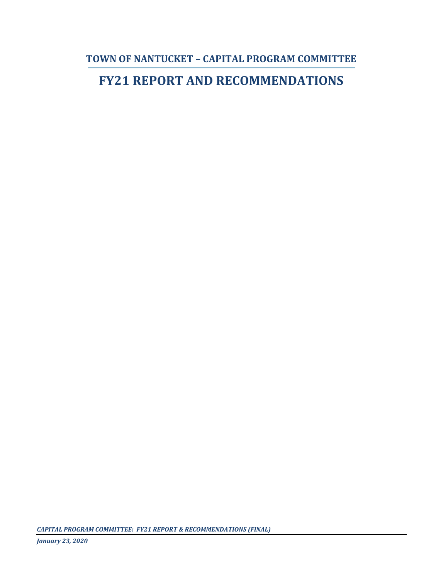**TOWN OF NANTUCKET – CAPITAL PROGRAM COMMITTEE**

# **FY21 REPORT AND RECOMMENDATIONS**

*CAPITAL PROGRAM COMMITTEE: FY21 REPORT & RECOMMENDATIONS (FINAL)*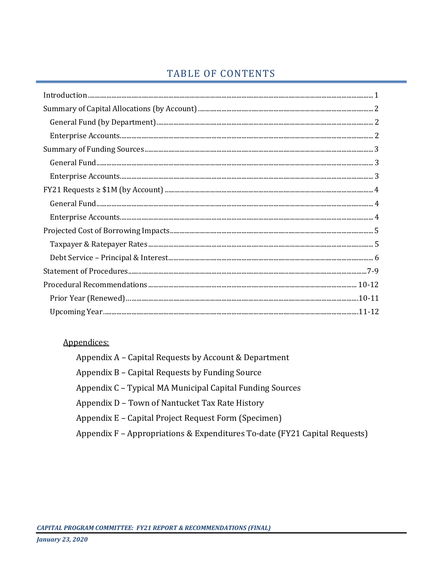# TABLE OF CONTENTS

## Appendices:

| Appendix A – Capital Requests by Account & Department                      |
|----------------------------------------------------------------------------|
| Appendix B – Capital Requests by Funding Source                            |
| Appendix C – Typical MA Municipal Capital Funding Sources                  |
| Appendix D – Town of Nantucket Tax Rate History                            |
| Appendix E – Capital Project Request Form (Specimen)                       |
| Appendix F - Appropriations & Expenditures To-date (FY21 Capital Requests) |
|                                                                            |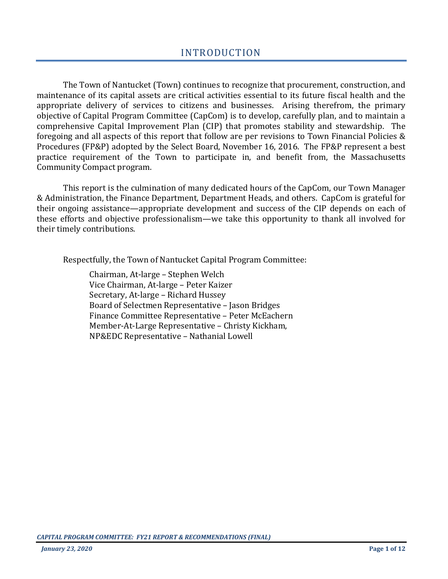The Town of Nantucket (Town) continues to recognize that procurement, construction, and maintenance of its capital assets are critical activities essential to its future fiscal health and the appropriate delivery of services to citizens and businesses. Arising therefrom, the primary objective of Capital Program Committee (CapCom) is to develop, carefully plan, and to maintain a comprehensive Capital Improvement Plan (CIP) that promotes stability and stewardship. The foregoing and all aspects of this report that follow are per revisions to Town Financial Policies & Procedures (FP&P) adopted by the Select Board, November 16, 2016. The FP&P represent a best practice requirement of the Town to participate in, and benefit from, the Massachusetts Community Compact program.

This report is the culmination of many dedicated hours of the CapCom, our Town Manager & Administration, the Finance Department, Department Heads, and others. CapCom is grateful for their ongoing assistance—appropriate development and success of the CIP depends on each of these efforts and objective professionalism—we take this opportunity to thank all involved for their timely contributions.

Respectfully, the Town of Nantucket Capital Program Committee:

Chairman, At-large – Stephen Welch Vice Chairman, At-large – Peter Kaizer Secretary, At-large – Richard Hussey Board of Selectmen Representative – Jason Bridges Finance Committee Representative – Peter McEachern Member-At-Large Representative – Christy Kickham, NP&EDC Representative – Nathanial Lowell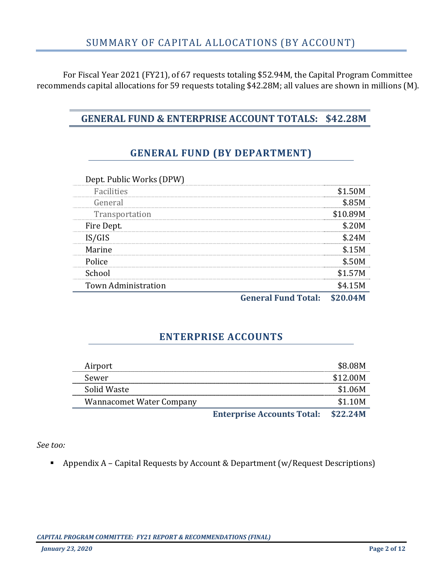For Fiscal Year 2021 (FY21), of 67 requests totaling \$52.94M, the Capital Program Committee recommends capital allocations for 59 requests totaling \$42.28M; all values are shown in millions (M).

# **GENERAL FUND & ENTERPRISE ACCOUNT TOTALS: \$42.28M**

# **GENERAL FUND (BY DEPARTMENT)**

| Dept. Public Works (DPW)   |       |
|----------------------------|-------|
| Facilities                 |       |
| General                    |       |
| Transportation             | 10.89 |
| Fire Dept.                 |       |
| IS/GIS                     |       |
| Marine                     |       |
| Police                     |       |
| School                     |       |
| <b>Town Administration</b> |       |
|                            |       |

**General Fund Total: \$20.04M**

## **ENTERPRISE ACCOUNTS**

| Airport                         |                                            | <b>S8.08M</b> |
|---------------------------------|--------------------------------------------|---------------|
| Sewer                           |                                            | \$12.00M      |
| Solid Waste                     |                                            | \$1.06M       |
| <b>Wannacomet Water Company</b> |                                            | \$1.10M       |
|                                 | <b>Enterprise Accounts Total: \$22.24M</b> |               |

*See too:* 

Appendix A – Capital Requests by Account & Department (w/Request Descriptions)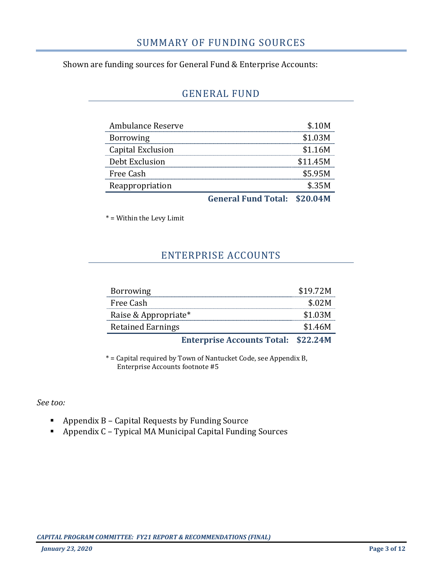# SUMMARY OF FUNDING SOURCES

Shown are funding sources for General Fund & Enterprise Accounts:

## GENERAL FUND

| Ambulance Reserve |                                     | S. 10M<br> |
|-------------------|-------------------------------------|------------|
| <b>Borrowing</b>  |                                     | \$1.03M    |
| Capital Exclusion |                                     | \$1.16M    |
| Debt Exclusion    |                                     | \$11.45M   |
| Free Cash         |                                     | \$5.95M    |
| Reappropriation   |                                     | \$35M      |
|                   | <b>General Fund Total: \$20.04M</b> |            |

\* = Within the Levy Limit

# ENTERPRISE ACCOUNTS

| <b>Borrowing</b>         |                                            | \$19.72M |
|--------------------------|--------------------------------------------|----------|
| Free Cash                |                                            | \$.02M   |
| Raise & Appropriate*     |                                            | \$1.03M  |
| <b>Retained Earnings</b> |                                            | \$1.46M  |
|                          | <b>Enterprise Accounts Total: \$22.24M</b> |          |

\* = Capital required by Town of Nantucket Code, see Appendix B, Enterprise Accounts footnote #5

*See too:* 

- Appendix B Capital Requests by Funding Source
- Appendix C Typical MA Municipal Capital Funding Sources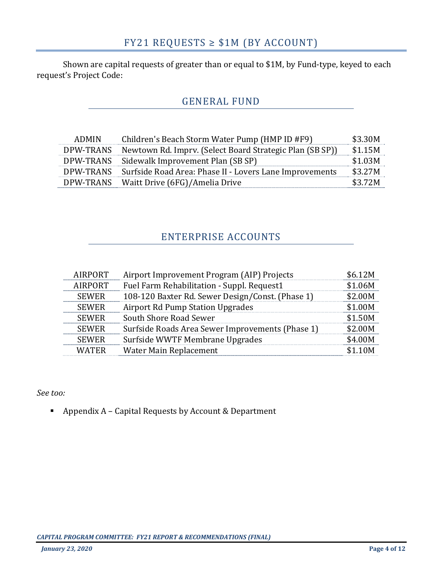Shown are capital requests of greater than or equal to \$1M, by Fund-type, keyed to each request's Project Code:

# GENERAL FUND

| <b>ADMIN</b> | Children's Beach Storm Water Pump (HMP ID #F9)           | \$3.30M |
|--------------|----------------------------------------------------------|---------|
| DPW-TRANS    | Newtown Rd. Impry. (Select Board Strategic Plan (SB SP)) | \$1.15M |
|              | DPW-TRANS Sidewalk Improvement Plan (SB SP)              | \$1.03M |
| DPW-TRANS    | Surfside Road Area: Phase II - Lovers Lane Improvements  | \$3.27M |
| DPW-TRANS    | Waitt Drive (6FG)/Amelia Drive                           | \$3.72M |

# ENTERPRISE ACCOUNTS

| AIRPORT        | Airport Improvement Program (AIP) Projects       | \$6.12M |
|----------------|--------------------------------------------------|---------|
| <b>AIRPORT</b> | Fuel Farm Rehabilitation - Suppl. Request1       | \$1.06M |
| <b>SEWER</b>   | 108-120 Baxter Rd. Sewer Design/Const. (Phase 1) | \$2.00M |
| <b>SEWER</b>   | <b>Airport Rd Pump Station Upgrades</b>          | \$1.00M |
| <b>SEWER</b>   | South Shore Road Sewer                           | \$1.50M |
| <b>SEWER</b>   | Surfside Roads Area Sewer Improvements (Phase 1) | \$2.00M |
| <b>SEWER</b>   | Surfside WWTF Membrane Upgrades                  | \$4.00M |
| <b>WATER</b>   | Water Main Replacement                           | \$1.10M |

*See too:* 

Appendix A – Capital Requests by Account & Department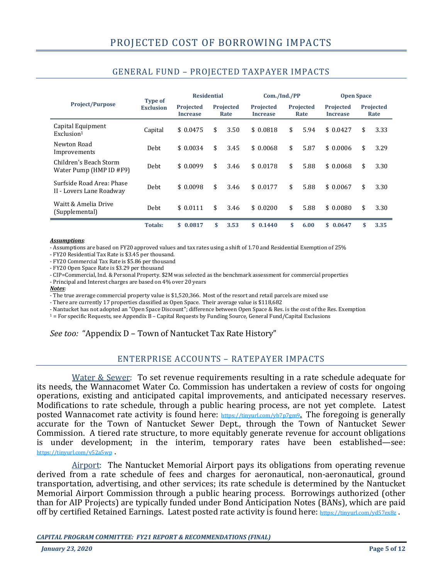|                                                       |                                    | <b>Residential</b>                  |    | Com./Ind./PP             |                                     |    | <b>Open Space</b>        |                                     |    |                          |
|-------------------------------------------------------|------------------------------------|-------------------------------------|----|--------------------------|-------------------------------------|----|--------------------------|-------------------------------------|----|--------------------------|
| <b>Project/Purpose</b>                                | <b>Type of</b><br><b>Exclusion</b> | <b>Projected</b><br><b>Increase</b> |    | <b>Projected</b><br>Rate | <b>Projected</b><br><b>Increase</b> |    | <b>Projected</b><br>Rate | <b>Projected</b><br><b>Increase</b> |    | <b>Projected</b><br>Rate |
| Capital Equipment<br>Exclusion <sup>1</sup>           | Capital                            | \$0.0475                            | \$ | 3.50                     | \$0.0818                            | \$ | 5.94                     | \$0.0427                            | \$ | 3.33                     |
| Newton Road<br>Improvements                           | Debt                               | \$0.0034                            | \$ | 3.45                     | \$0.0068                            | \$ | 5.87                     | \$0.0006                            | \$ | 3.29                     |
| Children's Beach Storm<br>Water Pump (HMP ID #F9)     | Debt                               | \$0.0099                            | \$ | 3.46                     | \$0.0178                            | \$ | 5.88                     | \$0.0068                            | \$ | 3.30                     |
| Surfside Road Area: Phase<br>II - Lovers Lane Roadway | Debt                               | \$0.0098                            | \$ | 3.46                     | \$0.0177                            | \$ | 5.88                     | \$0.0067                            | \$ | 3.30                     |
| Waitt & Amelia Drive<br>(Supplemental)                | Debt                               | \$0.0111                            | \$ | 3.46                     | \$0.0200                            | \$ | 5.88                     | \$0.0080                            | \$ | 3.30                     |
|                                                       | Totals:                            | \$0.0817                            | \$ | 3.53                     | \$0.1440                            | \$ | 6.00                     | \$0.0647                            | \$ | 3.35                     |

### GENERAL FUND – PROJECTED TAXPAYER IMPACTS

#### *Assumptions*:

÷

- Assumptions are based on FY20 approved values and tax rates using a shift of 1.70 and Residential Exemption of 25%

- FY20 Residential Tax Rate is \$3.45 per thousand.

- FY20 Commercial Tax Rate is \$5.86 per thousand

- FY20 Open Space Rate is \$3.29 per thousand

- CIP=Commercial, Ind. & Personal Property. \$2M was selected as the benchmark assessment for commercial properties

- Principal and Interest charges are based on 4% over 20 years

*Notes*:

- The true average commercial property value is \$1,520,366. Most of the resort and retail parcels are mixed use

- There are currently 17 properties classified as Open Space. Their average value is \$118,682

- Nantucket has not adopted an "Open Space Discount"; difference between Open Space & Res. is the cost of the Res. Exemption

<sup>1</sup> = For specific Requests, see Appendix B – Capital Requests by Funding Source, General Fund/Capital Exclusions

*See too:* "Appendix D – Town of Nantucket Tax Rate History"

### ENTERPRISE ACCOUNTS – RATEPAYER IMPACTS

Water & Sewer: To set revenue requirements resulting in a rate schedule adequate for its needs, the Wannacomet Water Co. Commission has undertaken a review of costs for ongoing operations, existing and anticipated capital improvements, and anticipated necessary reserves. Modifications to rate schedule, through a public hearing process, are not yet complete. Latest posted Wannacomet rate activity is found here:  $h(t)$  https://tinyurl.com/yb7p7gm9. The foregoing is generally accurate for the Town of Nantucket Sewer Dept., through the Town of Nantucket Sewer Commission. A tiered rate structure, to more equitably generate revenue for account obligations is under development; in the interim, temporary rates have been established—see: https://tinyurl.com/v52a5wp .

Airport: The Nantucket Memorial Airport pays its obligations from operating revenue derived from a rate schedule of fees and charges for aeronautical, non-aeronautical, ground transportation, advertising, and other services; its rate schedule is determined by the Nantucket Memorial Airport Commission through a public hearing process. Borrowings authorized (other than for AIP Projects) are typically funded under Bond Anticipation Notes (BANs), which are paid off by certified Retained Earnings. Latest posted rate activity is found here: https://tinyurl.com/yd57ex8z.

*CAPITAL PROGRAM COMMITTEE: FY21 REPORT & RECOMMENDATIONS (FINAL)*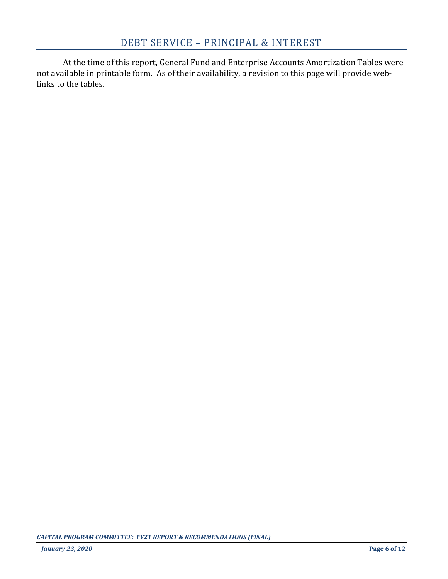At the time of this report, General Fund and Enterprise Accounts Amortization Tables were not available in printable form. As of their availability, a revision to this page will provide weblinks to the tables.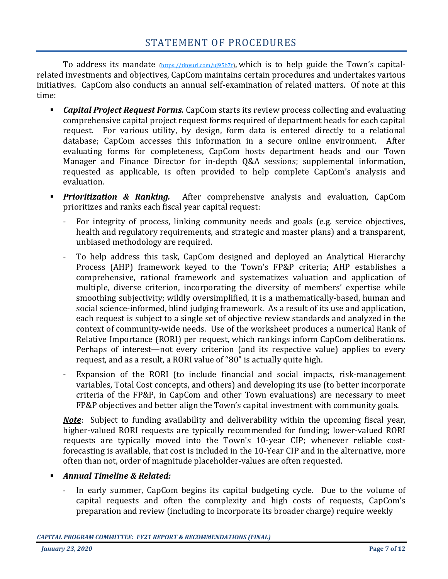To address its mandate (https://tinyurl.com/uj95b7t), which is to help guide the Town's capitalrelated investments and objectives, CapCom maintains certain procedures and undertakes various initiatives. CapCom also conducts an annual self-examination of related matters. Of note at this time:

- *Capital Project Request Forms.* CapCom starts its review process collecting and evaluating comprehensive capital project request forms required of department heads for each capital request. For various utility, by design, form data is entered directly to a relational database; CapCom accesses this information in a secure online environment. After evaluating forms for completeness, CapCom hosts department heads and our Town Manager and Finance Director for in-depth Q&A sessions; supplemental information, requested as applicable, is often provided to help complete CapCom's analysis and evaluation.
- *Prioritization & Ranking.* After comprehensive analysis and evaluation, CapCom prioritizes and ranks each fiscal year capital request:
	- For integrity of process, linking community needs and goals (e.g. service objectives, health and regulatory requirements, and strategic and master plans) and a transparent, unbiased methodology are required.
	- To help address this task, CapCom designed and deployed an Analytical Hierarchy Process (AHP) framework keyed to the Town's FP&P criteria; AHP establishes a comprehensive, rational framework and systematizes valuation and application of multiple, diverse criterion, incorporating the diversity of members' expertise while smoothing subjectivity; wildly oversimplified, it is a mathematically-based, human and social science-informed, blind judging framework. As a result of its use and application, each request is subject to a single set of objective review standards and analyzed in the context of community-wide needs. Use of the worksheet produces a numerical Rank of Relative Importance (RORI) per request, which rankings inform CapCom deliberations. Perhaps of interest—not every criterion (and its respective value) applies to every request, and as a result, a RORI value of "80" is actually quite high.
	- Expansion of the RORI (to include financial and social impacts, risk-management variables, Total Cost concepts, and others) and developing its use (to better incorporate criteria of the FP&P, in CapCom and other Town evaluations) are necessary to meet FP&P objectives and better align the Town's capital investment with community goals.

*Note*: Subject to funding availability and deliverability within the upcoming fiscal year, higher-valued RORI requests are typically recommended for funding; lower-valued RORI requests are typically moved into the Town's 10-year CIP; whenever reliable costforecasting is available, that cost is included in the 10-Year CIP and in the alternative, more often than not, order of magnitude placeholder-values are often requested.

## *Annual Timeline & Related:*

In early summer, CapCom begins its capital budgeting cycle. Due to the volume of capital requests and often the complexity and high costs of requests, CapCom's preparation and review (including to incorporate its broader charge) require weekly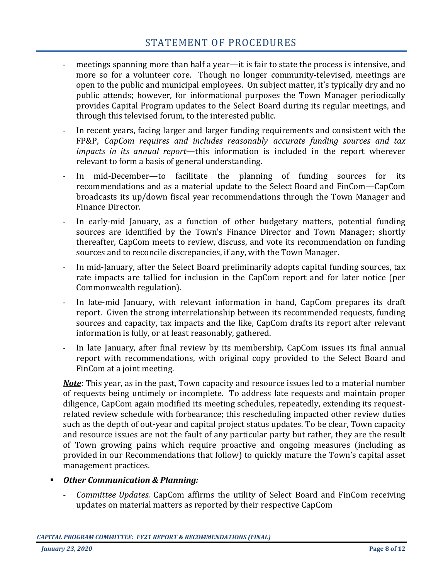- meetings spanning more than half a year—it is fair to state the process is intensive, and more so for a volunteer core. Though no longer community-televised, meetings are open to the public and municipal employees. On subject matter, it's typically dry and no public attends; however, for informational purposes the Town Manager periodically provides Capital Program updates to the Select Board during its regular meetings, and through this televised forum, to the interested public.
- In recent years, facing larger and larger funding requirements and consistent with the FP&P, *CapCom requires and includes reasonably accurate funding sources and tax impacts in its annual report*—this information is included in the report wherever relevant to form a basis of general understanding.
- In mid-December—to facilitate the planning of funding sources for its recommendations and as a material update to the Select Board and FinCom—CapCom broadcasts its up/down fiscal year recommendations through the Town Manager and Finance Director.
- In early-mid January, as a function of other budgetary matters, potential funding sources are identified by the Town's Finance Director and Town Manager; shortly thereafter, CapCom meets to review, discuss, and vote its recommendation on funding sources and to reconcile discrepancies, if any, with the Town Manager.
- In mid-January, after the Select Board preliminarily adopts capital funding sources, tax rate impacts are tallied for inclusion in the CapCom report and for later notice (per Commonwealth regulation).
- In late-mid January, with relevant information in hand, CapCom prepares its draft report. Given the strong interrelationship between its recommended requests, funding sources and capacity, tax impacts and the like, CapCom drafts its report after relevant information is fully, or at least reasonably, gathered.
- In late January, after final review by its membership, CapCom issues its final annual report with recommendations, with original copy provided to the Select Board and FinCom at a joint meeting.

*Note*: This year, as in the past, Town capacity and resource issues led to a material number of requests being untimely or incomplete. To address late requests and maintain proper diligence, CapCom again modified its meeting schedules, repeatedly, extending its requestrelated review schedule with forbearance; this rescheduling impacted other review duties such as the depth of out-year and capital project status updates. To be clear, Town capacity and resource issues are not the fault of any particular party but rather, they are the result of Town growing pains which require proactive and ongoing measures (including as provided in our Recommendations that follow) to quickly mature the Town's capital asset management practices.

### *Other Communication & Planning:*

- *Committee Updates.* CapCom affirms the utility of Select Board and FinCom receiving updates on material matters as reported by their respective CapCom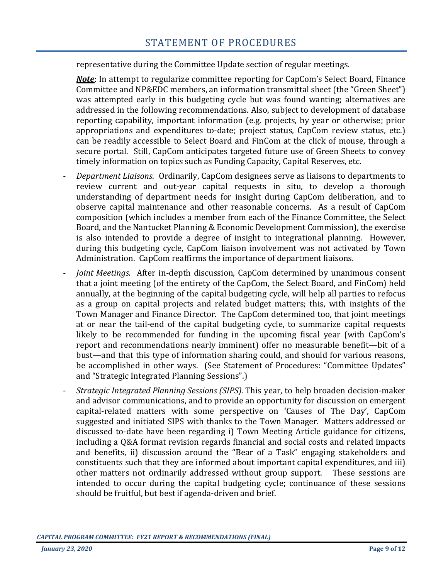representative during the Committee Update section of regular meetings.

*Note*: In attempt to regularize committee reporting for CapCom's Select Board, Finance Committee and NP&EDC members, an information transmittal sheet (the "Green Sheet") was attempted early in this budgeting cycle but was found wanting; alternatives are addressed in the following recommendations. Also, subject to development of database reporting capability, important information (e.g. projects, by year or otherwise; prior appropriations and expenditures to-date; project status, CapCom review status, etc.) can be readily accessible to Select Board and FinCom at the click of mouse, through a secure portal. Still, CapCom anticipates targeted future use of Green Sheets to convey timely information on topics such as Funding Capacity, Capital Reserves, etc.

- *Department Liaisons*. Ordinarily, CapCom designees serve as liaisons to departments to review current and out-year capital requests in situ, to develop a thorough understanding of department needs for insight during CapCom deliberation, and to observe capital maintenance and other reasonable concerns. As a result of CapCom composition (which includes a member from each of the Finance Committee, the Select Board, and the Nantucket Planning & Economic Development Commission), the exercise is also intended to provide a degree of insight to integrational planning. However, during this budgeting cycle, CapCom liaison involvement was not activated by Town Administration. CapCom reaffirms the importance of department liaisons.
- *Joint Meetings.* After in-depth discussion, CapCom determined by unanimous consent that a joint meeting (of the entirety of the CapCom, the Select Board, and FinCom) held annually, at the beginning of the capital budgeting cycle, will help all parties to refocus as a group on capital projects and related budget matters; this, with insights of the Town Manager and Finance Director. The CapCom determined too, that joint meetings at or near the tail-end of the capital budgeting cycle, to summarize capital requests likely to be recommended for funding in the upcoming fiscal year (with CapCom's report and recommendations nearly imminent) offer no measurable benefit—bit of a bust—and that this type of information sharing could, and should for various reasons, be accomplished in other ways. (See Statement of Procedures: "Committee Updates" and "Strategic Integrated Planning Sessions".)
- *Strategic Integrated Planning Sessions (SIPS).* This year, to help broaden decision-maker and advisor communications, and to provide an opportunity for discussion on emergent capital-related matters with some perspective on 'Causes of The Day', CapCom suggested and initiated SIPS with thanks to the Town Manager. Matters addressed or discussed to-date have been regarding i) Town Meeting Article guidance for citizens, including a Q&A format revision regards financial and social costs and related impacts and benefits, ii) discussion around the "Bear of a Task" engaging stakeholders and constituents such that they are informed about important capital expenditures, and iii) other matters not ordinarily addressed without group support. These sessions are intended to occur during the capital budgeting cycle; continuance of these sessions should be fruitful, but best if agenda-driven and brief.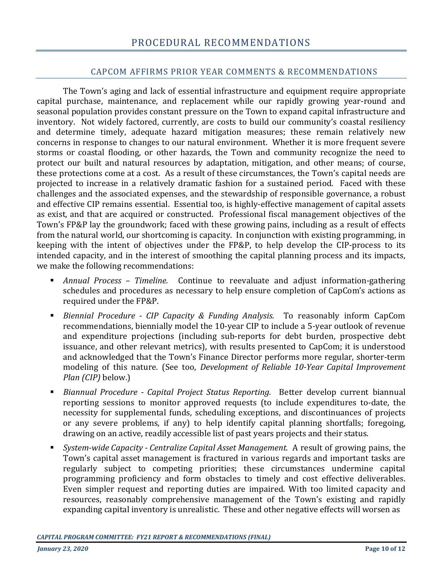### CAPCOM AFFIRMS PRIOR YEAR COMMENTS & RECOMMENDATIONS

The Town's aging and lack of essential infrastructure and equipment require appropriate capital purchase, maintenance, and replacement while our rapidly growing year-round and seasonal population provides constant pressure on the Town to expand capital infrastructure and inventory. Not widely factored, currently, are costs to build our community's coastal resiliency and determine timely, adequate hazard mitigation measures; these remain relatively new concerns in response to changes to our natural environment. Whether it is more frequent severe storms or coastal flooding, or other hazards, the Town and community recognize the need to protect our built and natural resources by adaptation, mitigation, and other means; of course, these protections come at a cost. As a result of these circumstances, the Town's capital needs are projected to increase in a relatively dramatic fashion for a sustained period. Faced with these challenges and the associated expenses, and the stewardship of responsible governance, a robust and effective CIP remains essential. Essential too, is highly-effective management of capital assets as exist, and that are acquired or constructed. Professional fiscal management objectives of the Town's FP&P lay the groundwork; faced with these growing pains, including as a result of effects from the natural world, our shortcoming is capacity. In conjunction with existing programming, in keeping with the intent of objectives under the FP&P, to help develop the CIP-process to its intended capacity, and in the interest of smoothing the capital planning process and its impacts, we make the following recommendations:

- *Annual Process – Timeline.* Continue to reevaluate and adjust information-gathering schedules and procedures as necessary to help ensure completion of CapCom's actions as required under the FP&P.
- *Biennial Procedure - CIP Capacity & Funding Analysis.* To reasonably inform CapCom recommendations, biennially model the 10-year CIP to include a 5-year outlook of revenue and expenditure projections (including sub-reports for debt burden, prospective debt issuance, and other relevant metrics), with results presented to CapCom; it is understood and acknowledged that the Town's Finance Director performs more regular, shorter-term modeling of this nature. (See too, *Development of Reliable 10-Year Capital Improvement Plan (CIP)* below.)
- *Biannual Procedure - Capital Project Status Reporting.* Better develop current biannual reporting sessions to monitor approved requests (to include expenditures to-date, the necessity for supplemental funds, scheduling exceptions, and discontinuances of projects or any severe problems, if any) to help identify capital planning shortfalls; foregoing, drawing on an active, readily accessible list of past years projects and their status.
- *System-wide Capacity - Centralize Capital Asset Management.* A result of growing pains, the Town's capital asset management is fractured in various regards and important tasks are regularly subject to competing priorities; these circumstances undermine capital programming proficiency and form obstacles to timely and cost effective deliverables. Even simpler request and reporting duties are impaired. With too limited capacity and resources, reasonably comprehensive management of the Town's existing and rapidly expanding capital inventory is unrealistic. These and other negative effects will worsen as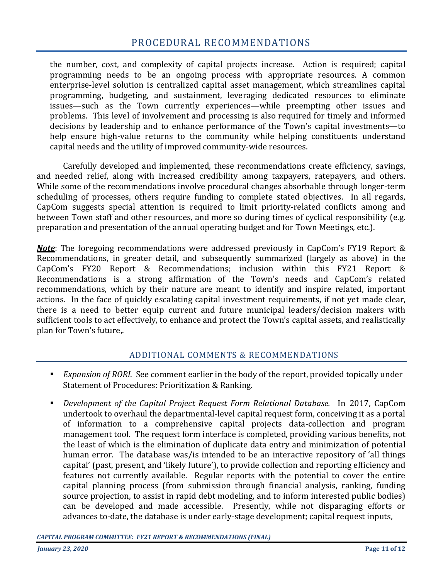the number, cost, and complexity of capital projects increase. Action is required; capital programming needs to be an ongoing process with appropriate resources. A common enterprise-level solution is centralized capital asset management, which streamlines capital programming, budgeting, and sustainment, leveraging dedicated resources to eliminate issues—such as the Town currently experiences—while preempting other issues and problems. This level of involvement and processing is also required for timely and informed decisions by leadership and to enhance performance of the Town's capital investments—to help ensure high-value returns to the community while helping constituents understand capital needs and the utility of improved community-wide resources.

Carefully developed and implemented, these recommendations create efficiency, savings, and needed relief, along with increased credibility among taxpayers, ratepayers, and others. While some of the recommendations involve procedural changes absorbable through longer-term scheduling of processes, others require funding to complete stated objectives. In all regards, CapCom suggests special attention is required to limit priority-related conflicts among and between Town staff and other resources, and more so during times of cyclical responsibility (e.g. preparation and presentation of the annual operating budget and for Town Meetings, etc.).

*Note*: The foregoing recommendations were addressed previously in CapCom's FY19 Report & Recommendations, in greater detail, and subsequently summarized (largely as above) in the CapCom's FY20 Report & Recommendations; inclusion within this FY21 Report & Recommendations is a strong affirmation of the Town's needs and CapCom's related recommendations, which by their nature are meant to identify and inspire related, important actions. In the face of quickly escalating capital investment requirements, if not yet made clear, there is a need to better equip current and future municipal leaders/decision makers with sufficient tools to act effectively, to enhance and protect the Town's capital assets, and realistically plan for Town's future,.

### ADDITIONAL COMMENTS & RECOMMENDATIONS

- *Expansion of RORI*. See comment earlier in the body of the report, provided topically under Statement of Procedures: Prioritization & Ranking.
- *Development of the Capital Project Request Form Relational Database.* In 2017, CapCom undertook to overhaul the departmental-level capital request form, conceiving it as a portal of information to a comprehensive capital projects data-collection and program management tool. The request form interface is completed, providing various benefits, not the least of which is the elimination of duplicate data entry and minimization of potential human error. The database was/is intended to be an interactive repository of 'all things capital' (past, present, and 'likely future'), to provide collection and reporting efficiency and features not currently available. Regular reports with the potential to cover the entire capital planning process (from submission through financial analysis, ranking, funding source projection, to assist in rapid debt modeling, and to inform interested public bodies) can be developed and made accessible. Presently, while not disparaging efforts or advances to-date, the database is under early-stage development; capital request inputs,

*CAPITAL PROGRAM COMMITTEE: FY21 REPORT & RECOMMENDATIONS (FINAL)*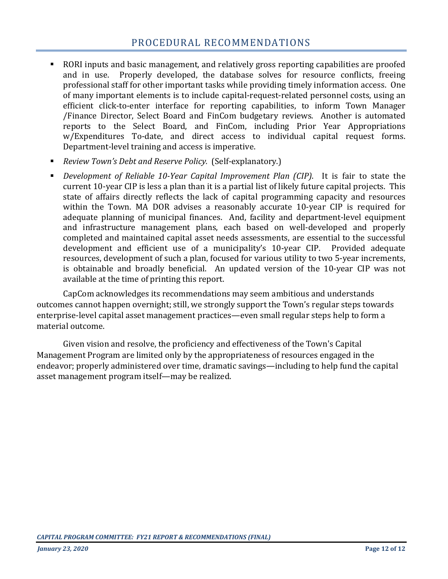# PROCEDURAL RECOMMENDATIONS

- RORI inputs and basic management, and relatively gross reporting capabilities are proofed and in use. Properly developed, the database solves for resource conflicts, freeing professional staff for other important tasks while providing timely information access. One of many important elements is to include capital-request-related personnel costs, using an efficient click-to-enter interface for reporting capabilities, to inform Town Manager /Finance Director, Select Board and FinCom budgetary reviews. Another is automated reports to the Select Board, and FinCom, including Prior Year Appropriations w/Expenditures To-date, and direct access to individual capital request forms. Department-level training and access is imperative.
- *Review Town's Debt and Reserve Policy.* (Self-explanatory.)
- *Development of Reliable 10-Year Capital Improvement Plan (CIP)*. It is fair to state the current 10-year CIP is less a plan than it is a partial list of likely future capital projects. This state of affairs directly reflects the lack of capital programming capacity and resources within the Town. MA DOR advises a reasonably accurate 10-year CIP is required for adequate planning of municipal finances. And, facility and department-level equipment and infrastructure management plans, each based on well-developed and properly completed and maintained capital asset needs assessments, are essential to the successful development and efficient use of a municipality's 10-year CIP. Provided adequate resources, development of such a plan, focused for various utility to two 5-year increments, is obtainable and broadly beneficial. An updated version of the 10-year CIP was not available at the time of printing this report.

CapCom acknowledges its recommendations may seem ambitious and understands outcomes cannot happen overnight; still, we strongly support the Town's regular steps towards enterprise-level capital asset management practices—even small regular steps help to form a material outcome.

Given vision and resolve, the proficiency and effectiveness of the Town's Capital Management Program are limited only by the appropriateness of resources engaged in the endeavor; properly administered over time, dramatic savings—including to help fund the capital asset management program itself—may be realized.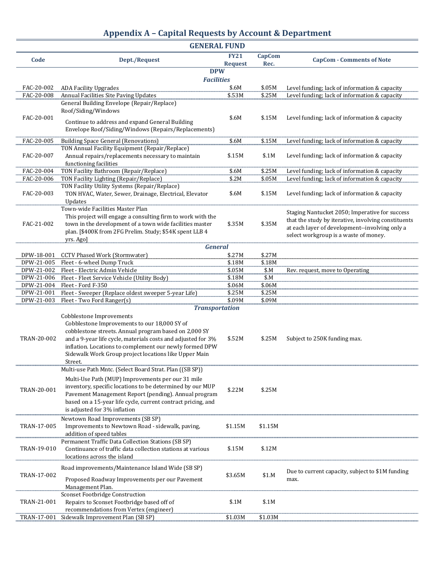| <b>Appendix A - Capital Requests by Account &amp; Department</b> |  |  |  |  |  |
|------------------------------------------------------------------|--|--|--|--|--|
|------------------------------------------------------------------|--|--|--|--|--|

|             | <b>GENERAL FUND</b>                                                                                              |                               |                       |                                                     |  |
|-------------|------------------------------------------------------------------------------------------------------------------|-------------------------------|-----------------------|-----------------------------------------------------|--|
| Code        | Dept./Request                                                                                                    | <b>FY21</b><br><b>Request</b> | <b>CapCom</b><br>Rec. | <b>CapCom - Comments of Note</b>                    |  |
|             | <b>DPW</b>                                                                                                       |                               |                       |                                                     |  |
|             | <b>Facilities</b>                                                                                                |                               |                       |                                                     |  |
| FAC-20-002  | <b>ADA Facility Upgrades</b>                                                                                     | \$.6M                         | \$.05M                | Level funding; lack of information & capacity       |  |
| FAC-20-008  | Annual Facilities Site Paving Updates                                                                            | \$.53M                        | \$.25M                | Level funding; lack of information & capacity       |  |
|             | General Building Envelope (Repair/Replace)<br>Roof/Siding/Windows                                                |                               |                       |                                                     |  |
| FAC-20-001  |                                                                                                                  | \$.6M                         | \$.15M                | Level funding; lack of information & capacity       |  |
|             | Continue to address and expand General Building                                                                  |                               |                       |                                                     |  |
|             | Envelope Roof/Siding/Windows (Repairs/Replacements)                                                              |                               |                       |                                                     |  |
| FAC-20-005  | <b>Building Space General (Renovations)</b>                                                                      | \$.6M                         | \$.15M                | Level funding; lack of information & capacity       |  |
|             | TON Annual Facility Equipment (Repair/Replace)                                                                   |                               |                       |                                                     |  |
| FAC-20-007  | Annual repairs/replacements necessary to maintain                                                                | \$.15M                        | \$.1M                 | Level funding; lack of information & capacity       |  |
|             | functioning facilities                                                                                           |                               |                       |                                                     |  |
| FAC-20-004  | TON Facility Bathroom (Repair/Replace)                                                                           | \$.6M                         | \$.25M                | Level funding; lack of information & capacity       |  |
| FAC-20-006  | <b>TON Facility Lighting (Repair/Replace)</b>                                                                    | \$.2M                         | \$.05M                | Level funding; lack of information & capacity       |  |
|             | TON Facility Utility Systems (Repair/Replace)                                                                    |                               |                       |                                                     |  |
| FAC-20-003  | TON HVAC, Water, Sewer, Drainage, Electrical, Elevator                                                           | \$.6M                         | \$.15M                | Level funding; lack of information & capacity       |  |
|             | Updates<br>Town-wide Facilities Master Plan                                                                      |                               |                       |                                                     |  |
|             | This project will engage a consulting firm to work with the                                                      |                               |                       | Staging Nantucket 2050; Imperative for success      |  |
| FAC-21-002  | town in the development of a town wide facilities master                                                         | \$.35M                        | \$.35M                | that the study by iterative, involving constituents |  |
|             | plan. [\$400K from 2FG Prelim. Study; \$54K spent LLB 4                                                          |                               |                       | at each layer of development--involving only a      |  |
|             | yrs. Ago]                                                                                                        |                               |                       | select workgroup is a waste of money.               |  |
|             | <b>General</b>                                                                                                   |                               |                       |                                                     |  |
| DPW-18-001  | <b>CCTV Phased Work (Stormwater)</b>                                                                             | \$.27M                        | \$.27M                |                                                     |  |
| DPW-21-005  | Fleet - 6-wheel Dump Truck                                                                                       | \$.18M                        | \$.18M                |                                                     |  |
| DPW-21-002  | Fleet - Electric Admin Vehicle                                                                                   | \$.05M                        | \$.M                  | Rev. request, move to Operating                     |  |
| DPW-21-006  | Fleet - Fleet Service Vehicle (Utility Body)                                                                     | \$.18M                        | \$M                   |                                                     |  |
| DPW-21-004  | Fleet - Ford F-350                                                                                               | \$.06M                        | \$.06M                |                                                     |  |
| DPW-21-001  | Fleet - Sweeper (Replace oldest sweeper 5-year Life)                                                             | \$.25M                        | \$.25M                |                                                     |  |
| DPW-21-003  | Fleet - Two Ford Ranger(s)<br><b>Transportation</b>                                                              | \$.09M                        | \$.09M                |                                                     |  |
|             | Cobblestone Improvements                                                                                         |                               |                       |                                                     |  |
|             | Cobblestone Improvements to our 18,000 SY of                                                                     |                               |                       |                                                     |  |
|             | cobblestone streets. Annual program based on 2,000 SY                                                            |                               |                       |                                                     |  |
| TRAN-20-002 | and a 9-year life cycle, materials costs and adjusted for 3%                                                     | \$.52M                        | \$.25M                | Subject to 250K funding max.                        |  |
|             | inflation. Locations to complement our newly formed DPW                                                          |                               |                       |                                                     |  |
|             | Sidewalk Work Group project locations like Upper Main                                                            |                               |                       |                                                     |  |
|             | Street.                                                                                                          |                               |                       |                                                     |  |
|             | Multi-use Path Mntc. (Select Board Strat. Plan ((SB SP))                                                         |                               |                       |                                                     |  |
|             | Multi-Use Path (MUP) Improvements per our 31 mile                                                                |                               |                       |                                                     |  |
| TRAN-20-001 | inventory, specific locations to be determined by our MUP                                                        | \$.22M                        | \$.25M                |                                                     |  |
|             | Pavement Management Report (pending). Annual program                                                             |                               |                       |                                                     |  |
|             | based on a 15-year life cycle, current contract pricing, and                                                     |                               |                       |                                                     |  |
|             | is adjusted for 3% inflation                                                                                     |                               |                       |                                                     |  |
|             | Newtown Road Improvements (SB SP)                                                                                |                               |                       |                                                     |  |
| TRAN-17-005 | Improvements to Newtown Road - sidewalk, paving,                                                                 | \$1.15M                       | \$1.15M               |                                                     |  |
|             | addition of speed tables                                                                                         |                               |                       |                                                     |  |
| TRAN-19-010 | Permanent Traffic Data Collection Stations (SB SP)<br>Continuance of traffic data collection stations at various | \$.15M                        | \$.12M                |                                                     |  |
|             | locations across the island                                                                                      |                               |                       |                                                     |  |
|             |                                                                                                                  |                               |                       |                                                     |  |
|             | Road improvements/Maintenance Island Wide (SB SP)                                                                |                               |                       | Due to current capacity, subject to \$1M funding    |  |
| TRAN-17-002 | Proposed Roadway Improvements per our Pavement                                                                   | \$3.65M                       | \$1.M                 | max.                                                |  |
|             | Management Plan.                                                                                                 |                               |                       |                                                     |  |
|             | <b>Sconset Footbridge Construction</b>                                                                           |                               |                       |                                                     |  |
| TRAN-21-001 | Repairs to Sconset Footbridge based off of                                                                       | \$.1M                         | \$.1M                 |                                                     |  |
|             | recommendations from Vertex (engineer)                                                                           |                               |                       |                                                     |  |
| TRAN-17-001 | Sidewalk Improvement Plan (SB SP)                                                                                | \$1.03M                       | \$1.03M               |                                                     |  |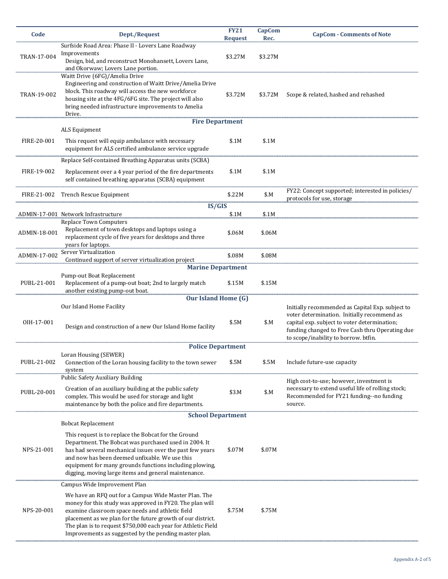| Code         | Dept./Request                                                                                                                                                                                                                                                                                                                                                  | <b>FY21</b><br><b>Request</b> | <b>CapCom</b><br>Rec. | <b>CapCom - Comments of Note</b>                                                                                                                                                                                                           |
|--------------|----------------------------------------------------------------------------------------------------------------------------------------------------------------------------------------------------------------------------------------------------------------------------------------------------------------------------------------------------------------|-------------------------------|-----------------------|--------------------------------------------------------------------------------------------------------------------------------------------------------------------------------------------------------------------------------------------|
| TRAN-17-004  | Surfside Road Area: Phase II - Lovers Lane Roadway<br>Improvements<br>Design, bid, and reconstruct Monohansett, Lovers Lane,<br>and Okorwaw; Lovers Lane portion.                                                                                                                                                                                              | \$3.27M                       | \$3.27M               |                                                                                                                                                                                                                                            |
| TRAN-19-002  | Waitt Drive (6FG)/Amelia Drive<br>Engineering and construction of Waitt Drive/Amelia Drive<br>block. This roadway will access the new workforce<br>housing site at the 4FG/6FG site. The project will also<br>bring needed infrastructure improvements to Amelia<br>Drive.                                                                                     | \$3.72M                       | \$3.72M               | Scope & related, hashed and rehashed                                                                                                                                                                                                       |
|              | <b>Fire Department</b><br>ALS Equipment                                                                                                                                                                                                                                                                                                                        |                               |                       |                                                                                                                                                                                                                                            |
| FIRE-20-001  | This request will equip ambulance with necessary<br>equipment for ALS certified ambulance service upgrade                                                                                                                                                                                                                                                      | \$.1M                         | \$.1M                 |                                                                                                                                                                                                                                            |
|              | Replace Self-contained Breathing Apparatus units (SCBA)                                                                                                                                                                                                                                                                                                        |                               |                       |                                                                                                                                                                                                                                            |
| FIRE-19-002  | Replacement over a 4 year period of the fire departments<br>self contained breathing apparatus (SCBA) equipment                                                                                                                                                                                                                                                | \$.1M                         | \$.1M                 |                                                                                                                                                                                                                                            |
| FIRE-21-002  | Trench Rescue Equipment                                                                                                                                                                                                                                                                                                                                        | \$.22M                        | \$.M                  | FY22: Concept supported; interested in policies/<br>protocols for use, storage                                                                                                                                                             |
|              | IS/GIS                                                                                                                                                                                                                                                                                                                                                         |                               |                       |                                                                                                                                                                                                                                            |
|              | ADMIN-17-001 Network Infrastructure<br>Replace Town Computers                                                                                                                                                                                                                                                                                                  | \$.1M                         | \$.1M                 |                                                                                                                                                                                                                                            |
| ADMIN-18-001 | Replacement of town desktops and laptops using a<br>replacement cycle of five years for desktops and three<br>years for laptops.                                                                                                                                                                                                                               | \$.06M                        | \$.06M                |                                                                                                                                                                                                                                            |
| ADMIN-17-002 | Server Virtualization<br>Continued support of server virtualization project                                                                                                                                                                                                                                                                                    | \$.08M                        | \$.08M                |                                                                                                                                                                                                                                            |
|              | <b>Marine Department</b>                                                                                                                                                                                                                                                                                                                                       |                               |                       |                                                                                                                                                                                                                                            |
| PUBL-21-001  | Pump-out Boat Replacement<br>Replacement of a pump-out boat; 2nd to largely match<br>another existing pump-out boat.                                                                                                                                                                                                                                           | \$.15M                        | \$.15M                |                                                                                                                                                                                                                                            |
|              | <b>Our Island Home (G)</b>                                                                                                                                                                                                                                                                                                                                     |                               |                       |                                                                                                                                                                                                                                            |
| OIH-17-001   | Our Island Home Facility<br>Design and construction of a new Our Island Home facility                                                                                                                                                                                                                                                                          | \$.5M                         | \$.M                  | Initially recommended as Capital Exp. subject to<br>voter determination. Initially recommend as<br>capital exp. subject to voter determination;<br>funding changed to Free Cash thru Operating due<br>to scope/inability to borrow. btfin. |
|              | <b>Police Department</b>                                                                                                                                                                                                                                                                                                                                       |                               |                       |                                                                                                                                                                                                                                            |
| PUBL-21-002  | Loran Housing (SEWER)<br>Connection of the Loran housing facility to the town sewer<br>system                                                                                                                                                                                                                                                                  | \$.5M                         | \$.5M                 | Include future-use capacity                                                                                                                                                                                                                |
| PUBL-20-001  | Public Safety Auxiliary Building<br>Creation of an auxiliary building at the public safety<br>complex. This would be used for storage and light<br>maintenance by both the police and fire departments.                                                                                                                                                        | \$3.M                         | \$.M                  | High cost-to-use; however, investment is<br>necessary to extend useful life of rolling stock;<br>Recommended for FY21 funding--no funding<br>source.                                                                                       |
|              | <b>School Department</b>                                                                                                                                                                                                                                                                                                                                       |                               |                       |                                                                                                                                                                                                                                            |
|              | <b>Bobcat Replacement</b>                                                                                                                                                                                                                                                                                                                                      |                               |                       |                                                                                                                                                                                                                                            |
| NPS-21-001   | This request is to replace the Bobcat for the Ground<br>Department. The Bobcat was purchased used in 2004. It<br>has had several mechanical issues over the past few years<br>and now has been deemed unfixable. We use this<br>equipment for many grounds functions including plowing,<br>digging, moving large items and general maintenance.                | \$.07M                        | \$.07M                |                                                                                                                                                                                                                                            |
|              | Campus Wide Improvement Plan                                                                                                                                                                                                                                                                                                                                   |                               |                       |                                                                                                                                                                                                                                            |
| NPS-20-001   | We have an RFQ out for a Campus Wide Master Plan. The<br>money for this study was approved in FY20. The plan will<br>examine classroom space needs and athletic field<br>placement as we plan for the future growth of our district.<br>The plan is to request \$750,000 each year for Athletic Field<br>Improvements as suggested by the pending master plan. | \$.75M                        | \$.75M                |                                                                                                                                                                                                                                            |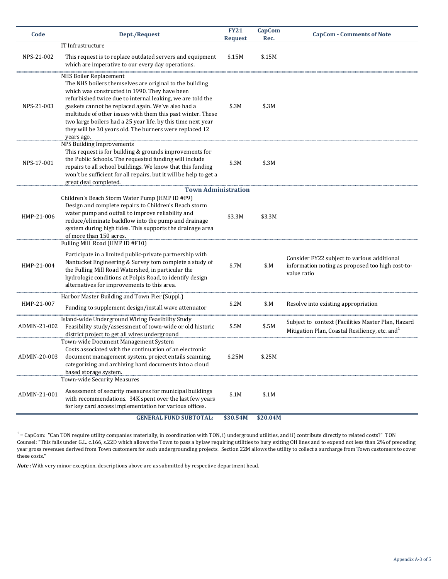| Code         | Dept./Request                                                                                                                                                                                                                                                                                                                                                                                                                                                  | <b>FY21</b><br><b>Request</b> | <b>CapCom</b><br>Rec. | <b>CapCom - Comments of Note</b>                                                                                 |
|--------------|----------------------------------------------------------------------------------------------------------------------------------------------------------------------------------------------------------------------------------------------------------------------------------------------------------------------------------------------------------------------------------------------------------------------------------------------------------------|-------------------------------|-----------------------|------------------------------------------------------------------------------------------------------------------|
|              | IT Infrastructure                                                                                                                                                                                                                                                                                                                                                                                                                                              |                               |                       |                                                                                                                  |
| NPS-21-002   | This request is to replace outdated servers and equipment<br>which are imperative to our every day operations.                                                                                                                                                                                                                                                                                                                                                 | \$.15M                        | \$.15M                |                                                                                                                  |
| NPS-21-003   | NHS Boiler Replacement<br>The NHS boilers themselves are original to the building<br>which was constructed in 1990. They have been<br>refurbished twice due to internal leaking, we are told the<br>gaskets cannot be replaced again. We've also had a<br>multitude of other issues with them this past winter. These<br>two large boilers had a 25 year life, by this time next year<br>they will be 30 years old. The burners were replaced 12<br>years ago. | \$.3M                         | \$.3M                 |                                                                                                                  |
| NPS-17-001   | <b>NPS Building Improvements</b><br>This request is for building & grounds improvements for<br>the Public Schools. The requested funding will include<br>repairs to all school buildings. We know that this funding<br>won't be sufficient for all repairs, but it will be help to get a<br>great deal completed.                                                                                                                                              | \$.3M                         | \$.3M                 |                                                                                                                  |
|              | <b>Town Administration</b>                                                                                                                                                                                                                                                                                                                                                                                                                                     |                               |                       |                                                                                                                  |
| HMP-21-006   | Children's Beach Storm Water Pump (HMP ID #F9)<br>Design and complete repairs to Children's Beach storm<br>water pump and outfall to improve reliability and<br>reduce/eliminate backflow into the pump and drainage<br>system during high tides. This supports the drainage area<br>of more than 150 acres.                                                                                                                                                   | \$3.3M                        | \$3.3M                |                                                                                                                  |
| HMP-21-004   | Fulling Mill Road (HMP ID #F10)<br>Participate in a limited public-private partnership with<br>Nantucket Engineering & Survey tom complete a study of<br>the Fulling Mill Road Watershed, in particular the<br>hydrologic conditions at Polpis Road, to identify design<br>alternatives for improvements to this area.                                                                                                                                         | \$.7M                         | \$M                   | Consider FY22 subject to various additional<br>information noting as proposed too high cost-to-<br>value ratio   |
| HMP-21-007   | Harbor Master Building and Town Pier (Suppl.)<br>Funding to supplement design/install wave attenuator                                                                                                                                                                                                                                                                                                                                                          | \$.2M                         | \$.M                  | Resolve into existing appropriation                                                                              |
| ADMIN-21-002 | Island-wide Underground Wiring Feasibility Study<br>Feasibility study/assessment of town-wide or old historic<br>district project to get all wires underground                                                                                                                                                                                                                                                                                                 | \$.5M                         | \$.5M                 | Subject to context (Facilities Master Plan, Hazard<br>Mitigation Plan, Coastal Resiliency, etc. and <sup>1</sup> |
| ADMIN-20-003 | Town-wide Document Management System<br>Costs associated with the continuation of an electronic<br>document management system. project entails scanning,<br>categorizing and archiving hard documents into a cloud<br>based storage system.                                                                                                                                                                                                                    | \$.25M                        | \$.25M                |                                                                                                                  |
| ADMIN-21-001 | Town-wide Security Measures<br>Assessment of security measures for municipal buildings<br>with recommendations. 34K spent over the last few years<br>for key card access implementation for various offices.                                                                                                                                                                                                                                                   | \$.1M                         | \$.1M                 |                                                                                                                  |
|              | <b>GENERAL FUND SUBTOTAL:</b>                                                                                                                                                                                                                                                                                                                                                                                                                                  | \$30.54M                      | \$20.04M              |                                                                                                                  |

 $^1$  = CapCom: "Can TON require utility companies materially, in coordination with TON, i) underground utilities, and ii) contribute directly to related costs?" TON Counsel: "This falls under G.L. c.166, s.22D which allows the Town to pass a bylaw requiring utilities to bury exiting OH lines and to expend not less than 2% of preceding year gross revenues derived from Town customers for such undergrounding projects. Section 22M allows the utility to collect a surcharge from Town customers to cover these costs."

*Note* **:** With very minor exception, descriptions above are as submitted by respective department head.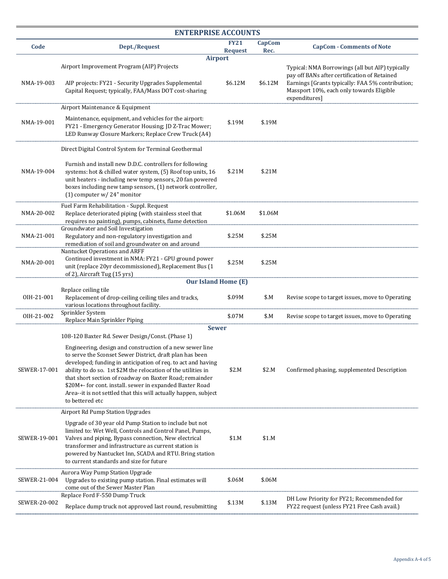| <b>ENTERPRISE ACCOUNTS</b> |                                                                                                                                                                                                                                                                                                                                                                                                                                                                                                                                        |                               |                       |                                                                                                                                                                                                                  |  |  |  |  |
|----------------------------|----------------------------------------------------------------------------------------------------------------------------------------------------------------------------------------------------------------------------------------------------------------------------------------------------------------------------------------------------------------------------------------------------------------------------------------------------------------------------------------------------------------------------------------|-------------------------------|-----------------------|------------------------------------------------------------------------------------------------------------------------------------------------------------------------------------------------------------------|--|--|--|--|
| Code                       | Dept./Request                                                                                                                                                                                                                                                                                                                                                                                                                                                                                                                          | <b>FY21</b><br><b>Request</b> | <b>CapCom</b><br>Rec. | <b>CapCom - Comments of Note</b>                                                                                                                                                                                 |  |  |  |  |
| NMA-19-003                 | <b>Airport</b><br>Airport Improvement Program (AIP) Projects<br>AIP projects: FY21 - Security Upgrades Supplemental<br>Capital Request; typically, FAA/Mass DOT cost-sharing                                                                                                                                                                                                                                                                                                                                                           | \$6.12M                       | \$6.12M               | Typical: NMA Borrowings (all but AIP) typically<br>pay off BANs after certification of Retained<br>Earnings [Grants typically: FAA 5% contribution;<br>Massport 10%, each only towards Eligible<br>expenditures] |  |  |  |  |
| NMA-19-001                 | Airport Maintenance & Equipment<br>Maintenance, equipment, and vehicles for the airport:<br>FY21 - Emergency Generator Housing; JD Z-Trac Mower;<br>LED Runway Closure Markers; Replace Crew Truck (A4)                                                                                                                                                                                                                                                                                                                                | \$.19M                        | \$.19M                |                                                                                                                                                                                                                  |  |  |  |  |
| NMA-19-004                 | Direct Digital Control System for Terminal Geothermal<br>Furnish and install new D.D.C. controllers for following<br>systems: hot & chilled water system, (5) Roof top units, 16<br>unit heaters - including new temp sensors, 20 fan powered<br>boxes including new tamp sensors, (1) network controller,<br>(1) computer $w/24$ " monitor                                                                                                                                                                                            | \$.21M                        | \$.21M                |                                                                                                                                                                                                                  |  |  |  |  |
| NMA-20-002                 | Fuel Farm Rehabilitation - Suppl. Request<br>Replace deteriorated piping (with stainless steel that<br>requires no painting), pumps, cabinets, flame detection                                                                                                                                                                                                                                                                                                                                                                         | \$1.06M                       | \$1.06M               |                                                                                                                                                                                                                  |  |  |  |  |
| NMA-21-001                 | Groundwater and Soil Investigation<br>Regulatory and non-regulatory investigation and<br>remediation of soil and groundwater on and around                                                                                                                                                                                                                                                                                                                                                                                             | \$.25M                        | \$.25M                |                                                                                                                                                                                                                  |  |  |  |  |
| NMA-20-001                 | Nantucket Operations and ARFF<br>Continued investment in NMA: FY21 - GPU ground power<br>unit (replace 20yr decommissioned), Replacement Bus (1<br>of 2), Aircraft Tug (15 yrs)                                                                                                                                                                                                                                                                                                                                                        | \$.25M                        | \$.25M                |                                                                                                                                                                                                                  |  |  |  |  |
|                            | <b>Our Island Home (E)</b><br>Replace ceiling tile                                                                                                                                                                                                                                                                                                                                                                                                                                                                                     |                               |                       |                                                                                                                                                                                                                  |  |  |  |  |
| OIH-21-001                 | Replacement of drop-ceiling ceiling tiles and tracks,<br>various locations throughout facility.                                                                                                                                                                                                                                                                                                                                                                                                                                        | \$.09M                        | \$M                   | Revise scope to target issues, move to Operating                                                                                                                                                                 |  |  |  |  |
| OIH-21-002                 | Sprinkler System<br>Replace Main Sprinkler Piping                                                                                                                                                                                                                                                                                                                                                                                                                                                                                      | \$.07M                        | \$M                   | Revise scope to target issues, move to Operating                                                                                                                                                                 |  |  |  |  |
| SEWER-17-001               | <b>Sewer</b><br>108-120 Baxter Rd. Sewer Design/Const. (Phase 1)<br>Engineering, design and construction of a new sewer line<br>to serve the Sconset Sewer District, draft plan has been<br>developed; funding in anticipation of req. to act and having<br>ability to do so. 1st \$2M the relocation of the utilities in<br>that short section of roadway on Baxter Road; remainder<br>\$20M+- for cont. install. sewer in expanded Baxter Road<br>Area--it is not settled that this will actually happen, subject<br>to bettered etc | \$2.M                         | \$2.M                 | Confirmed phasing, supplemented Description                                                                                                                                                                      |  |  |  |  |
| SEWER-19-001               | <b>Airport Rd Pump Station Upgrades</b><br>Upgrade of 30 year old Pump Station to include but not<br>limited to: Wet Well, Controls and Control Panel, Pumps,<br>Valves and piping, Bypass connection, New electrical<br>transformer and infrastructure as current station is<br>powered by Nantucket Inn, SCADA and RTU. Bring station<br>to current standards and size for future                                                                                                                                                    | \$1.M                         | \$1.M                 |                                                                                                                                                                                                                  |  |  |  |  |
| SEWER-21-004               | Aurora Way Pump Station Upgrade<br>Upgrades to existing pump station. Final estimates will<br>come out of the Sewer Master Plan                                                                                                                                                                                                                                                                                                                                                                                                        | \$.06M                        | \$.06M                |                                                                                                                                                                                                                  |  |  |  |  |
| SEWER-20-002               | Replace Ford F-550 Dump Truck<br>Replace dump truck not approved last round, resubmitting                                                                                                                                                                                                                                                                                                                                                                                                                                              | \$.13M                        | \$.13M                | DH Low Priority for FY21; Recommended for<br>FY22 request (unless FY21 Free Cash avail.)                                                                                                                         |  |  |  |  |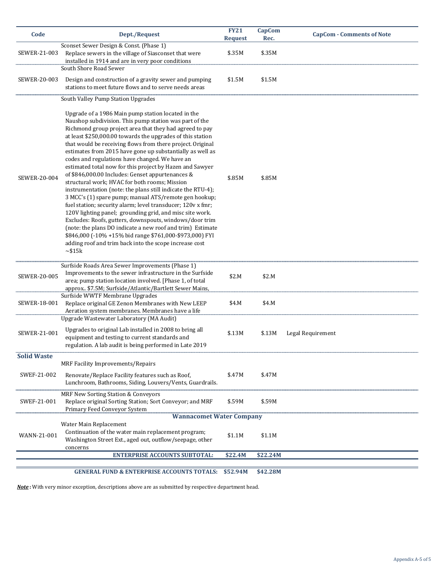| Code                | Dept./Request                                                                                                                                                                                                                                                                                                                                                                                                                                                                                                                                                                                                                                                                                                                                                                                                                                                                                                                                                                                                                                                                                                              | <b>FY21</b><br><b>Request</b> | CapCom<br>Rec. | <b>CapCom - Comments of Note</b> |
|---------------------|----------------------------------------------------------------------------------------------------------------------------------------------------------------------------------------------------------------------------------------------------------------------------------------------------------------------------------------------------------------------------------------------------------------------------------------------------------------------------------------------------------------------------------------------------------------------------------------------------------------------------------------------------------------------------------------------------------------------------------------------------------------------------------------------------------------------------------------------------------------------------------------------------------------------------------------------------------------------------------------------------------------------------------------------------------------------------------------------------------------------------|-------------------------------|----------------|----------------------------------|
| SEWER-21-003        | Sconset Sewer Design & Const. (Phase 1)<br>Replace sewers in the village of Siasconset that were<br>installed in 1914 and are in very poor conditions                                                                                                                                                                                                                                                                                                                                                                                                                                                                                                                                                                                                                                                                                                                                                                                                                                                                                                                                                                      | \$.35M                        | \$.35M         |                                  |
| SEWER-20-003        | South Shore Road Sewer<br>Design and construction of a gravity sewer and pumping<br>stations to meet future flows and to serve needs areas                                                                                                                                                                                                                                                                                                                                                                                                                                                                                                                                                                                                                                                                                                                                                                                                                                                                                                                                                                                 | \$1.5M                        | \$1.5M         |                                  |
| <b>SEWER-20-004</b> | South Valley Pump Station Upgrades<br>Upgrade of a 1986 Main pump station located in the<br>Naushop subdivision. This pump station was part of the<br>Richmond group project area that they had agreed to pay<br>at least \$250,000.00 towards the upgrades of this station<br>that would be receiving flows from there project. Original<br>estimates from 2015 have gone up substantially as well as<br>codes and regulations have changed. We have an<br>estimated total now for this project by Hazen and Sawyer<br>of \$846,000.00 Includes: Genset appurtenances &<br>structural work; HVAC for both rooms; Mission<br>instrumentation (note: the plans still indicate the RTU-4);<br>3 MCC's (1) spare pump; manual ATS/remote gen hookup;<br>fuel station; security alarm; level transducer; 120v x fmr;<br>120V lighting panel; grounding grid, and misc site work.<br>Excludes: Roofs, gutters, downspouts, windows/door trim<br>(note: the plans DO indicate a new roof and trim) Estimate<br>\$846,000 (-10% +15% bid range \$761,000-\$973,000) FYI<br>adding roof and trim back into the scope increase cost | \$.85M                        | \$.85M         |                                  |
| SEWER-20-005        | $\sim$ \$15 $k$<br>Surfside Roads Area Sewer Improvements (Phase 1)<br>Improvements to the sewer infrastructure in the Surfside                                                                                                                                                                                                                                                                                                                                                                                                                                                                                                                                                                                                                                                                                                                                                                                                                                                                                                                                                                                            | \$2.M                         | \$2.M          |                                  |
| SEWER-18-001        | area; pump station location involved. [Phase 1, of total]<br>approx \$7.5M; Surfside/Atlantic/Bartlett Sewer Mains,<br>Surfside WWTF Membrane Upgrades<br>Replace original GE Zenon Membranes with New LEEP<br>Aeration system membranes. Membranes have a life                                                                                                                                                                                                                                                                                                                                                                                                                                                                                                                                                                                                                                                                                                                                                                                                                                                            | \$4.M                         | \$4.M          |                                  |
| SEWER-21-001        | Upgrade Wastewater Laboratory (MA Audit)<br>Upgrades to original Lab installed in 2008 to bring all<br>equipment and testing to current standards and<br>regulation. A lab audit is being performed in Late 2019                                                                                                                                                                                                                                                                                                                                                                                                                                                                                                                                                                                                                                                                                                                                                                                                                                                                                                           | \$.13M                        | \$.13M         | Legal Requirement                |
| <b>Solid Waste</b>  |                                                                                                                                                                                                                                                                                                                                                                                                                                                                                                                                                                                                                                                                                                                                                                                                                                                                                                                                                                                                                                                                                                                            |                               |                |                                  |
| SWEF-21-002         | MRF Facility Improvements/Repairs<br>Renovate/Replace Facility features such as Roof,<br>Lunchroom, Bathrooms, Siding, Louvers/Vents, Guardrails.                                                                                                                                                                                                                                                                                                                                                                                                                                                                                                                                                                                                                                                                                                                                                                                                                                                                                                                                                                          | \$.47M                        | \$.47M         |                                  |
| SWEF-21-001         | <b>MRF New Sorting Station &amp; Conveyors</b><br>Replace original Sorting Station; Sort Conveyor; and MRF<br>Primary Feed Conveyor System                                                                                                                                                                                                                                                                                                                                                                                                                                                                                                                                                                                                                                                                                                                                                                                                                                                                                                                                                                                 | \$.59M                        | \$.59M         |                                  |
| WANN-21-001         | <b>Wannacomet Water Company</b><br>Water Main Replacement<br>Continuation of the water main replacement program;<br>Washington Street Ext., aged out, outflow/seepage, other<br>concerns                                                                                                                                                                                                                                                                                                                                                                                                                                                                                                                                                                                                                                                                                                                                                                                                                                                                                                                                   | \$1.1M                        | \$1.1M         |                                  |
|                     | <b>ENTERPRISE ACCOUNTS SUBTOTAL:</b>                                                                                                                                                                                                                                                                                                                                                                                                                                                                                                                                                                                                                                                                                                                                                                                                                                                                                                                                                                                                                                                                                       | \$22.4M                       | \$22.24M       |                                  |

### **GENERAL FUND & ENTERPRISE ACCOUNTS TOTALS: \$52.94M \$42.28M**

*Note* **:** With very minor exception, descriptions above are as submitted by respective department head.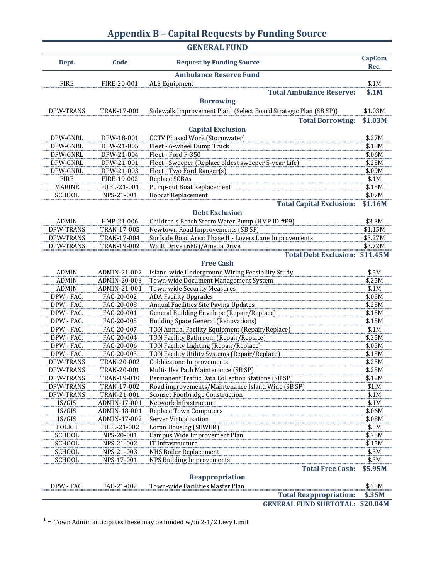# **Appendix B – Capital Requests by Funding Source**

|                  |              | <b>GENERAL FUND</b>                                                          |                       |
|------------------|--------------|------------------------------------------------------------------------------|-----------------------|
| Dept.            | Code         | <b>Request by Funding Source</b>                                             | <b>CapCom</b><br>Rec. |
|                  |              | <b>Ambulance Reserve Fund</b>                                                |                       |
| <b>FIRE</b>      | FIRE-20-001  | ALS Equipment                                                                | \$.1M                 |
|                  |              | <b>Total Ambulance Reserve:</b>                                              | \$.1M                 |
|                  |              | <b>Borrowing</b>                                                             |                       |
| DPW-TRANS        | TRAN-17-001  | Sidewalk Improvement Plan <sup>1</sup> (Select Board Strategic Plan (SB SP)) | \$1.03M               |
|                  |              | <b>Total Borrowing:</b>                                                      | \$1.03M               |
|                  |              | <b>Capital Exclusion</b>                                                     |                       |
| DPW-GNRL         | DPW-18-001   | <b>CCTV Phased Work (Stormwater)</b>                                         | \$.27M                |
| DPW-GNRL         | DPW-21-005   | Fleet - 6-wheel Dump Truck                                                   | \$.18M                |
| DPW-GNRL         | DPW-21-004   | Fleet - Ford F-350                                                           | \$.06M                |
| DPW-GNRL         | DPW-21-001   | Fleet - Sweeper (Replace oldest sweeper 5-year Life)                         | \$.25M                |
| DPW-GNRL         | DPW-21-003   | Fleet - Two Ford Ranger(s)                                                   | \$.09M                |
| <b>FIRE</b>      | FIRE-19-002  | Replace SCBAs                                                                | \$.1M                 |
| <b>MARINE</b>    | PUBL-21-001  | <b>Pump-out Boat Replacement</b>                                             | \$.15M                |
| SCHOOL           | NPS-21-001   | <b>Bobcat Replacement</b>                                                    | \$.07M                |
|                  |              | <b>Total Capital Exclusion:</b>                                              | \$1.16M               |
|                  |              | <b>Debt Exclusion</b>                                                        |                       |
| <b>ADMIN</b>     | HMP-21-006   | Children's Beach Storm Water Pump (HMP ID #F9)                               | \$3.3M                |
| <b>DPW-TRANS</b> | TRAN-17-005  | Newtown Road Improvements (SB SP)                                            | \$1.15M               |
| DPW-TRANS        | TRAN-17-004  | Surfside Road Area: Phase II - Lovers Lane Improvements                      | \$3.27M               |
| DPW-TRANS        | TRAN-19-002  | Waitt Drive (6FG)/Amelia Drive                                               | \$3.72M               |
|                  |              | <b>Total Debt Exclusion:</b>                                                 | \$11.45M              |
|                  |              | <b>Free Cash</b>                                                             |                       |
| <b>ADMIN</b>     | ADMIN-21-002 | Island-wide Underground Wiring Feasibility Study                             | \$.5M                 |
| <b>ADMIN</b>     | ADMIN-20-003 | Town-wide Document Management System                                         | \$.25M                |
| <b>ADMIN</b>     | ADMIN-21-001 | Town-wide Security Measures                                                  | \$.1M                 |
| DPW - FAC.       | FAC-20-002   | <b>ADA Facility Upgrades</b>                                                 | \$.05M                |
| DPW - FAC.       | FAC-20-008   | Annual Facilities Site Paving Updates                                        | \$.25M                |
| DPW - FAC.       | FAC-20-001   | General Building Envelope (Repair/Replace)                                   | \$.15M                |
| DPW - FAC.       | FAC-20-005   | <b>Building Space General (Renovations)</b>                                  | \$.15M                |
| DPW - FAC.       | FAC-20-007   | TON Annual Facility Equipment (Repair/Replace)                               | \$.1M                 |
| DPW - FAC.       | FAC-20-004   | TON Facility Bathroom (Repair/Replace)                                       | \$.25M                |
| DPW - FAC.       | FAC-20-006   | TON Facility Lighting (Repair/Replace)                                       | \$.05M                |
| DPW - FAC.       | FAC-20-003   | TON Facility Utility Systems (Repair/Replace)                                | \$.15M                |
| DPW-TRANS        | TRAN-20-002  | <b>Cobblestone Improvements</b>                                              | \$.25M                |
| DPW-TRANS        | TRAN-20-001  | Multi- Use Path Maintenance (SB SP)                                          | \$.25M                |
| DPW-TRANS        | TRAN-19-010  | Permanent Traffic Data Collection Stations (SB SP)                           | \$.12M                |
| DPW-TRANS        | TRAN-17-002  | Road improvements/Maintenance Island Wide (SB SP)                            | \$1.M                 |
| DPW-TRANS        | TRAN-21-001  | <b>Sconset Footbridge Construction</b>                                       | \$.1M                 |
| IS/GIS           | ADMIN-17-001 | Network Infrastructure                                                       | \$.1M                 |
| IS/GIS           | ADMIN-18-001 | <b>Replace Town Computers</b>                                                | \$.06M                |
| IS/GIS           | ADMIN-17-002 | Server Virtualization                                                        | \$.08M                |
| POLICE           | PUBL-21-002  | Loran Housing (SEWER)                                                        | \$.5M                 |
| SCHOOL           | NPS-20-001   | Campus Wide Improvement Plan                                                 | \$.75M                |
| SCHOOL           | NPS-21-002   | IT Infrastructure                                                            | \$.15M                |
| SCHOOL           | NPS-21-003   | <b>NHS Boiler Replacement</b>                                                | \$.3M                 |
| <b>SCHOOL</b>    | NPS-17-001   | <b>NPS Building Improvements</b>                                             | \$.3M                 |
|                  |              | <b>Total Free Cash:</b>                                                      | \$5.95M               |
|                  |              | Reappropriation                                                              |                       |
| DPW - FAC.       | FAC-21-002   | Town-wide Facilities Master Plan                                             | \$.35M                |
|                  |              | <b>Total Reappropriation:</b>                                                | \$.35M                |
|                  |              | <b>GENERAL FUND SUBTOTAL:</b>                                                | \$20.04M              |

 $1$  = Town Admin anticipates these may be funded w/in 2-1/2 Levy Limit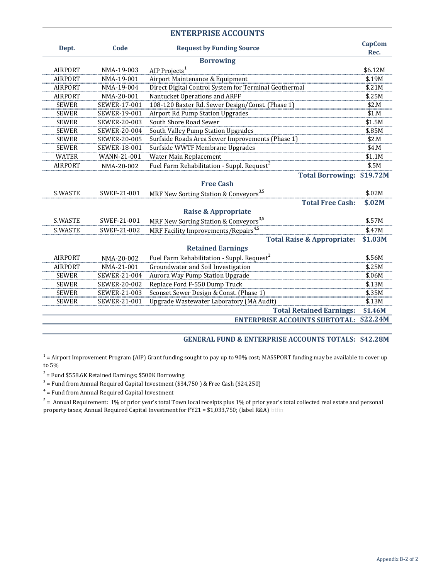| <b>ENTERPRISE ACCOUNTS</b> |                     |                                                        |               |  |  |  |  |  |  |  |
|----------------------------|---------------------|--------------------------------------------------------|---------------|--|--|--|--|--|--|--|
| Dept.                      | Code                | <b>Request by Funding Source</b>                       | <b>CapCom</b> |  |  |  |  |  |  |  |
|                            |                     |                                                        | Rec.          |  |  |  |  |  |  |  |
| <b>Borrowing</b>           |                     |                                                        |               |  |  |  |  |  |  |  |
| <b>AIRPORT</b>             | NMA-19-003          | AIP Projects <sup>1</sup>                              | \$6.12M       |  |  |  |  |  |  |  |
| <b>AIRPORT</b>             | NMA-19-001          | Airport Maintenance & Equipment                        | \$.19M        |  |  |  |  |  |  |  |
| <b>AIRPORT</b>             | NMA-19-004          | Direct Digital Control System for Terminal Geothermal  | \$.21M        |  |  |  |  |  |  |  |
| <b>AIRPORT</b>             | NMA-20-001          | Nantucket Operations and ARFF                          | \$.25M        |  |  |  |  |  |  |  |
| <b>SEWER</b>               | SEWER-17-001        | 108-120 Baxter Rd. Sewer Design/Const. (Phase 1)       | \$2.M         |  |  |  |  |  |  |  |
| <b>SEWER</b>               | SEWER-19-001        | <b>Airport Rd Pump Station Upgrades</b>                | \$1.M         |  |  |  |  |  |  |  |
| <b>SEWER</b>               | SEWER-20-003        | South Shore Road Sewer                                 | \$1.5M        |  |  |  |  |  |  |  |
| <b>SEWER</b>               | SEWER-20-004        | South Valley Pump Station Upgrades                     | \$.85M        |  |  |  |  |  |  |  |
| <b>SEWER</b>               | <b>SEWER-20-005</b> | Surfside Roads Area Sewer Improvements (Phase 1)       | \$2.M         |  |  |  |  |  |  |  |
| <b>SEWER</b>               | SEWER-18-001        | Surfside WWTF Membrane Upgrades                        | \$4.M         |  |  |  |  |  |  |  |
| <b>WATER</b>               | WANN-21-001         | Water Main Replacement                                 | \$1.1M        |  |  |  |  |  |  |  |
| <b>AIRPORT</b>             | NMA-20-002          | Fuel Farm Rehabilitation - Suppl. Request <sup>2</sup> | \$.5M         |  |  |  |  |  |  |  |
|                            |                     | <b>Total Borrowing:</b>                                | \$19.72M      |  |  |  |  |  |  |  |
|                            |                     | <b>Free Cash</b>                                       |               |  |  |  |  |  |  |  |
| <b>S.WASTE</b>             | SWEF-21-001         | MRF New Sorting Station & Conveyors <sup>3,5</sup>     | \$.02M        |  |  |  |  |  |  |  |
|                            |                     | <b>Total Free Cash:</b>                                | \$.02M        |  |  |  |  |  |  |  |
|                            |                     | <b>Raise &amp; Appropriate</b>                         |               |  |  |  |  |  |  |  |
| S.WASTE                    | SWEF-21-001         | MRF New Sorting Station & Conveyors <sup>3,5</sup>     | \$.57M        |  |  |  |  |  |  |  |
| S.WASTE                    | SWEF-21-002         | MRF Facility Improvements/Repairs <sup>4,5</sup>       | \$.47M        |  |  |  |  |  |  |  |
|                            |                     | <b>Total Raise &amp; Appropriate:</b>                  | \$1.03M       |  |  |  |  |  |  |  |
|                            |                     | <b>Retained Earnings</b>                               |               |  |  |  |  |  |  |  |
| <b>AIRPORT</b>             | NMA-20-002          | Fuel Farm Rehabilitation - Suppl. Request <sup>2</sup> | \$.56M        |  |  |  |  |  |  |  |
| <b>AIRPORT</b>             | NMA-21-001          | Groundwater and Soil Investigation                     | \$.25M        |  |  |  |  |  |  |  |
| <b>SEWER</b>               | SEWER-21-004        | Aurora Way Pump Station Upgrade                        | \$.06M        |  |  |  |  |  |  |  |
| <b>SEWER</b>               | SEWER-20-002        | Replace Ford F-550 Dump Truck                          | \$.13M        |  |  |  |  |  |  |  |
| <b>SEWER</b>               | SEWER-21-003        | Sconset Sewer Design & Const. (Phase 1)                | \$.35M        |  |  |  |  |  |  |  |
| <b>SEWER</b>               | SEWER-21-001        | Upgrade Wastewater Laboratory (MA Audit)               | \$.13M        |  |  |  |  |  |  |  |
|                            |                     | <b>Total Retained Earnings:</b>                        | \$1.46M       |  |  |  |  |  |  |  |
|                            |                     | <b>ENTERPRISE ACCOUNTS SUBTOTAL:</b>                   | \$22.24M      |  |  |  |  |  |  |  |

#### **GENERAL FUND & ENTERPRISE ACCOUNTS TOTALS: \$42.28M**

 $1$  = Airport Improvement Program (AIP) Grant funding sought to pay up to 90% cost; MASSPORT funding may be available to cover up to 5%

 $2 =$  Fund \$558.6K Retained Earnings; \$500K Borrowing

 $3$  = Fund from Annual Required Capital Investment (\$34,750) & Free Cash (\$24,250)

 $4$  = Fund from Annual Required Capital Investment

 $^5$  = Annual Requirement: 1% of prior year's total Town local receipts plus 1% of prior year's total collected real estate and personal property taxes; Annual Required Capital Investment for FY21 = \$1,033,750; (label R&A) btfin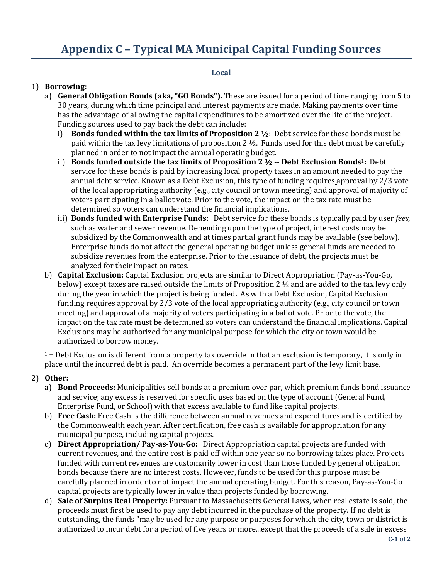# **Appendix C – Typical MA Municipal Capital Funding Sources**

#### **Local**

### 1) **Borrowing:**

- a) **General Obligation Bonds (aka, "GO Bonds").** These are issued for a period of time ranging from 5 to 30 years, during which time principal and interest payments are made. Making payments over time has the advantage of allowing the capital expenditures to be amortized over the life of the project. Funding sources used to pay back the debt can include:
	- i) **Bonds funded within the tax limits of Proposition 2 ½**: Debt service for these bonds must be paid within the tax levy limitations of proposition  $2 \frac{1}{2}$ . Funds used for this debt must be carefully planned in order to not impact the annual operating budget.
	- ii) **Bonds funded outside the tax limits of Proposition 2 ½ -- Debt Exclusion Bonds**1**:** Debt service for these bonds is paid by increasing local property taxes in an amount needed to pay the annual debt service. Known as a Debt Exclusion, this type of funding requires approval by 2/3 vote of the local appropriating authority (e.g., city council or town meeting) and approval of majority of voters participating in a ballot vote. Prior to the vote, the impact on the tax rate must be determined so voters can understand the financial implications.
	- iii) **Bonds funded with Enterprise Funds:** Debt service for these bonds is typically paid by user *fees,*  such as water and sewer revenue. Depending upon the type of project, interest costs may be subsidized by the Commonwealth and at times partial grant funds may be available (see below). Enterprise funds do not affect the general operating budget unless general funds are needed to subsidize revenues from the enterprise. Prior to the issuance of debt, the projects must be analyzed for their impact on rates.
- b) **Capital Exclusion:** Capital Exclusion projects are similar to Direct Appropriation (Pay-as-You-Go, below) except taxes are raised outside the limits of Proposition 2 ½ and are added to the tax levy only during the year in which the project is being funded**.** As with a Debt Exclusion, Capital Exclusion funding requires approval by 2/3 vote of the local appropriating authority (e.g., city council or town meeting) and approval of a majority of voters participating in a ballot vote. Prior to the vote, the impact on the tax rate must be determined so voters can understand the financial implications. Capital Exclusions may be authorized for any municipal purpose for which the city or town would be authorized to borrow money.

 $1 =$  Debt Exclusion is different from a property tax override in that an exclusion is temporary, it is only in place until the incurred debt is paid. An override becomes a permanent part of the levy limit base.

#### 2) **Other:**

- a) **Bond Proceeds:** Municipalities sell bonds at a premium over par, which premium funds bond issuance and service; any excess is reserved for specific uses based on the type of account (General Fund, Enterprise Fund, or School) with that excess available to fund like capital projects.
- b) **Free Cash:** Free Cash is the difference between annual revenues and expenditures and is certified by the Commonwealth each year. After certification, free cash is available for appropriation for any municipal purpose, including capital projects.
- c) **Direct Appropriation/ Pay-as-You-Go:** Direct Appropriation capital projects are funded with current revenues, and the entire cost is paid off within one year so no borrowing takes place. Projects funded with current revenues are customarily lower in cost than those funded by general obligation bonds because there are no interest costs. However, funds to be used for this purpose must be carefully planned in order to not impact the annual operating budget. For this reason, Pay-as-You-Go capital projects are typically lower in value than projects funded by borrowing.
- d) **Sale of Surplus Real Property:** Pursuant to Massachusetts General Laws, when real estate is sold, the proceeds must first be used to pay any debt incurred in the purchase of the property. If no debt is outstanding, the funds "may be used for any purpose or purposes for which the city, town or district is authorized to incur debt for a period of five years or more...except that the proceeds of a sale in excess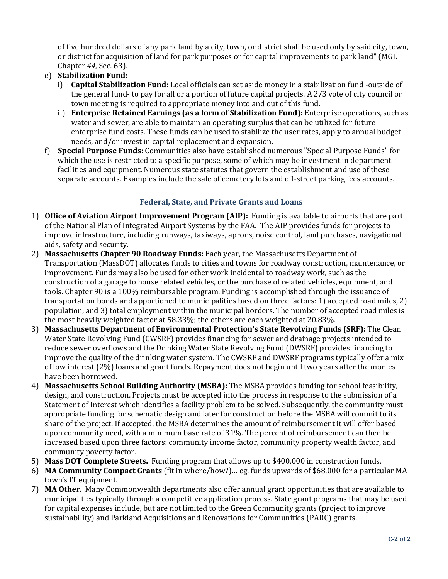of five hundred dollars of any park land by a city, town, or district shall be used only by said city, town, or district for acquisition of land for park purposes or for capital improvements to park land" (MGL Chapter *44,* Sec. 63).

- e) **Stabilization Fund:**
	- i) **Capital Stabilization Fund:** Local officials can set aside money in a stabilization fund -outside of the general fund- to pay for all or a portion of future capital projects. A 2/3 vote of city council or town meeting is required to appropriate money into and out of this fund.
	- ii) **Enterprise Retained Earnings (as a form of Stabilization Fund):** Enterprise operations, such as water and sewer, are able to maintain an operating surplus that can be utilized for future enterprise fund costs. These funds can be used to stabilize the user rates, apply to annual budget needs, and/or invest in capital replacement and expansion.
- f) **Special Purpose Funds:** Communities also have established numerous "Special Purpose Funds" for which the use is restricted to a specific purpose, some of which may be investment in department facilities and equipment. Numerous state statutes that govern the establishment and use of these separate accounts. Examples include the sale of cemetery lots and off-street parking fees accounts.

#### **Federal, State, and Private Grants and Loans**

- 1) **Office of Aviation Airport Improvement Program (AIP):** Funding is available to airports that are part of the National Plan of Integrated Airport Systems by the FAA. The AIP provides funds for projects to improve infrastructure, including runways, taxiways, aprons, noise control, land purchases, navigational aids, safety and security.
- 2) **Massachusetts Chapter 90 Roadway Funds:** Each year, the Massachusetts Department of Transportation (MassDOT) allocates funds to cities and towns for roadway construction, maintenance, or improvement. Funds may also be used for other work incidental to roadway work, such as the construction of a garage to house related vehicles, or the purchase of related vehicles, equipment, and tools. Chapter 90 is a 100% reimbursable program. Funding is accomplished through the issuance of transportation bonds and apportioned to municipalities based on three factors: 1) accepted road miles, 2) population, and 3} total employment within the municipal borders. The number of accepted road miles is the most heavily weighted factor at 58.33%; the others are each weighted at 20.83%.
- 3) **Massachusetts Department of Environmental Protection's State Revolving Funds (SRF):** The Clean Water State Revolving Fund (CWSRF} provides financing for sewer and drainage projects intended to reduce sewer overflows and the Drinking Water State Revolving Fund (DWSRF) provides financing to improve the quality of the drinking water system. The CWSRF and DWSRF programs typically offer a mix of low interest (2%) loans and grant funds. Repayment does not begin until two years after the monies have been borrowed.
- 4) **Massachusetts School Building Authority (MSBA):** The MSBA provides funding for school feasibility, design, and construction. Projects must be accepted into the process in response to the submission of a Statement of Interest which identifies a facility problem to be solved. Subsequently, the community must appropriate funding for schematic design and later for construction before the MSBA will commit to its share of the project. If accepted, the MSBA determines the amount of reimbursement it will offer based upon community need, with a minimum base rate of 31%. The percent of reimbursement can then be increased based upon three factors: community income factor, community property wealth factor, and community poverty factor.
- 5) **Mass DOT Complete Streets.** Funding program that allows up to \$400,000 in construction funds.
- 6) **MA Community Compact Grants** (fit in where/how?)… eg. funds upwards of \$68,000 for a particular MA town's IT equipment.
- 7) **MA Other.** Many Commonwealth departments also offer annual grant opportunities that are available to municipalities typically through a competitive application process. State grant programs that may be used for capital expenses include, but are not limited to the Green Community grants (project to improve sustainability) and Parkland Acquisitions and Renovations for Communities (PARC) grants.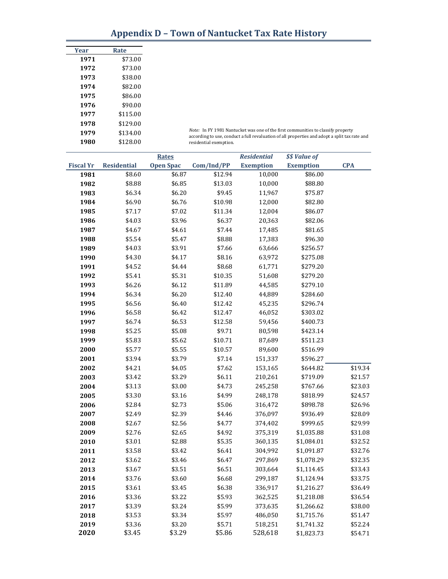| Year | Rate     |
|------|----------|
| 1971 | \$73.00  |
| 1972 | \$73.00  |
| 1973 | \$38.00  |
| 1974 | \$82.00  |
| 1975 | \$86.00  |
| 1976 | \$90.00  |
| 1977 | \$115.00 |
| 1978 | \$129.00 |
| 1979 | \$134.00 |
| 1980 | \$128.00 |

*Note:* In FY 1981 Nantucket was one of the first communities to classify property according to use, conduct a full revaluation of all properties and adopt a split tax rate and residential exemption.

|                  |                    | <b>Rates</b>     |            | <b>Residential</b> | \$\$ Value of    |            |
|------------------|--------------------|------------------|------------|--------------------|------------------|------------|
| <b>Fiscal Yr</b> | <b>Residential</b> | <b>Open Spac</b> | Com/Ind/PP | <b>Exemption</b>   | <b>Exemption</b> | <b>CPA</b> |
| 1981             | \$8.60             | \$6.87           | \$12.94    | 10,000             | \$86.00          |            |
| 1982             | \$8.88             | \$6.85           | \$13.03    | 10,000             | \$88.80          |            |
| 1983             | \$6.34             | \$6.20           | \$9.45     | 11,967             | \$75.87          |            |
| 1984             | \$6.90             | \$6.76           | \$10.98    | 12,000             | \$82.80          |            |
| 1985             | \$7.17             | \$7.02           | \$11.34    | 12,004             | \$86.07          |            |
| 1986             | \$4.03             | \$3.96           | \$6.37     | 20,363             | \$82.06          |            |
| 1987             | \$4.67             | \$4.61           | \$7.44     | 17,485             | \$81.65          |            |
| 1988             | \$5.54             | \$5.47           | \$8.88     | 17,383             | \$96.30          |            |
| 1989             | \$4.03             | \$3.91           | \$7.66     | 63,666             | \$256.57         |            |
| 1990             | \$4.30             | \$4.17           | \$8.16     | 63,972             | \$275.08         |            |
| 1991             | \$4.52             | \$4.44           | \$8.68     | 61,771             | \$279.20         |            |
| 1992             | \$5.41             | \$5.31           | \$10.35    | 51,608             | \$279.20         |            |
| 1993             | \$6.26             | \$6.12           | \$11.89    | 44,585             | \$279.10         |            |
| 1994             | \$6.34             | \$6.20           | \$12.40    | 44,889             | \$284.60         |            |
| 1995             | \$6.56             | \$6.40           | \$12.42    | 45,235             | \$296.74         |            |
| 1996             | \$6.58             | \$6.42           | \$12.47    | 46,052             | \$303.02         |            |
| 1997             | \$6.74             | \$6.53           | \$12.58    | 59,456             | \$400.73         |            |
| 1998             | \$5.25             | \$5.08           | \$9.71     | 80,598             | \$423.14         |            |
| 1999             | \$5.83             | \$5.62           | \$10.71    | 87,689             | \$511.23         |            |
| 2000             | \$5.77             | \$5.55           | \$10.57    | 89,600             | \$516.99         |            |
| 2001             | \$3.94             | \$3.79           | \$7.14     | 151,337            | \$596.27         |            |
| 2002             | \$4.21             | \$4.05           | \$7.62     | 153,165            | \$644.82         | \$19.34    |
| 2003             | \$3.42             | \$3.29           | \$6.11     | 210,261            | \$719.09         | \$21.57    |
| 2004             | \$3.13             | \$3.00           | \$4.73     | 245,258            | \$767.66         | \$23.03    |
| 2005             | \$3.30             | \$3.16           | \$4.99     | 248,178            | \$818.99         | \$24.57    |
| 2006             | \$2.84             | \$2.73           | \$5.06     | 316,472            | \$898.78         | \$26.96    |
| 2007             | \$2.49             | \$2.39           | \$4.46     | 376,097            | \$936.49         | \$28.09    |
| 2008             | \$2.67             | \$2.56           | \$4.77     | 374,402            | \$999.65         | \$29.99    |
| 2009             | \$2.76             | \$2.65           | \$4.92     | 375,319            | \$1,035.88       | \$31.08    |
| 2010             | \$3.01             | \$2.88           | \$5.35     | 360,135            | \$1,084.01       | \$32.52    |
| 2011             | \$3.58             | \$3.42           | \$6.41     | 304,992            | \$1,091.87       | \$32.76    |
| 2012             | \$3.62             | \$3.46           | \$6.47     | 297,869            | \$1,078.29       | \$32.35    |
| 2013             | \$3.67             | \$3.51           | \$6.51     | 303,664            | \$1,114.45       | \$33.43    |
| 2014             | \$3.76             | \$3.60           | \$6.68     | 299,187            | \$1,124.94       | \$33.75    |
| 2015             | \$3.61             | \$3.45           | \$6.38     | 336,917            | \$1,216.27       | \$36.49    |
| 2016             | \$3.36             | \$3.22           | \$5.93     | 362,525            | \$1,218.08       | \$36.54    |
| 2017             | \$3.39             | \$3.24           | \$5.99     | 373,635            | \$1,266.62       | \$38.00    |
| 2018             | \$3.53             | \$3.34           | \$5.97     | 486,050            | \$1,715.76       | \$51.47    |
| 2019             | \$3.36             | \$3.20           | \$5.71     | 518,251            | \$1,741.32       | \$52.24    |
| 2020             | \$3.45             | \$3.29           | \$5.86     | 528,618            | \$1,823.73       | \$54.71    |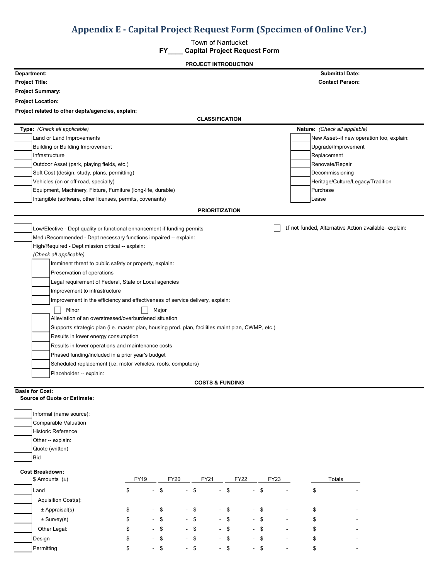#### Town of Nantucket

#### **FY\_\_\_\_ Capital Project Request Form**

| <b>PROJECT INTRODUCTION</b>                                                                                                                                                                                                                                                                                                                                                                                                                                                                                                                                                                                                                                                                                                                                                                                                                                                                     |                                                       |
|-------------------------------------------------------------------------------------------------------------------------------------------------------------------------------------------------------------------------------------------------------------------------------------------------------------------------------------------------------------------------------------------------------------------------------------------------------------------------------------------------------------------------------------------------------------------------------------------------------------------------------------------------------------------------------------------------------------------------------------------------------------------------------------------------------------------------------------------------------------------------------------------------|-------------------------------------------------------|
| Department:                                                                                                                                                                                                                                                                                                                                                                                                                                                                                                                                                                                                                                                                                                                                                                                                                                                                                     | <b>Submittal Date:</b>                                |
| <b>Project Title:</b>                                                                                                                                                                                                                                                                                                                                                                                                                                                                                                                                                                                                                                                                                                                                                                                                                                                                           | <b>Contact Person:</b>                                |
| <b>Project Summary:</b>                                                                                                                                                                                                                                                                                                                                                                                                                                                                                                                                                                                                                                                                                                                                                                                                                                                                         |                                                       |
| <b>Project Location:</b>                                                                                                                                                                                                                                                                                                                                                                                                                                                                                                                                                                                                                                                                                                                                                                                                                                                                        |                                                       |
| Project related to other depts/agencies, explain:                                                                                                                                                                                                                                                                                                                                                                                                                                                                                                                                                                                                                                                                                                                                                                                                                                               |                                                       |
| <b>CLASSIFICATION</b>                                                                                                                                                                                                                                                                                                                                                                                                                                                                                                                                                                                                                                                                                                                                                                                                                                                                           |                                                       |
| Type: (Check all applicable)                                                                                                                                                                                                                                                                                                                                                                                                                                                                                                                                                                                                                                                                                                                                                                                                                                                                    | Nature: (Check all appliable)                         |
| Land or Land Improvements                                                                                                                                                                                                                                                                                                                                                                                                                                                                                                                                                                                                                                                                                                                                                                                                                                                                       | New Asset--if new operation too, explain:             |
| <b>Building or Building Improvement</b>                                                                                                                                                                                                                                                                                                                                                                                                                                                                                                                                                                                                                                                                                                                                                                                                                                                         | Upgrade/Improvement                                   |
| Infrastructure                                                                                                                                                                                                                                                                                                                                                                                                                                                                                                                                                                                                                                                                                                                                                                                                                                                                                  | Replacement                                           |
| Outdoor Asset (park, playing fields, etc.)                                                                                                                                                                                                                                                                                                                                                                                                                                                                                                                                                                                                                                                                                                                                                                                                                                                      | Renovate/Repair                                       |
| Soft Cost (design, study, plans, permitting)                                                                                                                                                                                                                                                                                                                                                                                                                                                                                                                                                                                                                                                                                                                                                                                                                                                    | Decommissioning                                       |
| Vehicles (on or off-road, specialty)                                                                                                                                                                                                                                                                                                                                                                                                                                                                                                                                                                                                                                                                                                                                                                                                                                                            | Heritage/Culture/Legacy/Tradition                     |
| Equipment, Machinery, Fixture, Furniture (long-life, durable)                                                                                                                                                                                                                                                                                                                                                                                                                                                                                                                                                                                                                                                                                                                                                                                                                                   | Purchase                                              |
| Intangible (software, other licenses, permits, covenants)                                                                                                                                                                                                                                                                                                                                                                                                                                                                                                                                                                                                                                                                                                                                                                                                                                       | Lease                                                 |
| <b>PRIORITIZATION</b>                                                                                                                                                                                                                                                                                                                                                                                                                                                                                                                                                                                                                                                                                                                                                                                                                                                                           |                                                       |
| Low/Elective - Dept quality or functional enhancement if funding permits<br>Med./Recommended - Dept necessary functions impaired -- explain:<br>High/Required - Dept mission critical -- explain:<br>(Check all applicable)<br>Imminent threat to public safety or property, explain:<br>Preservation of operations<br>Legal requirement of Federal, State or Local agencies<br>Improvement to infrastructure<br>Improvement in the efficiency and effectiveness of service delivery, explain:<br>Minor<br>Major<br>Alleviation of an overstressed/overburdened situation<br>Supports strategic plan (i.e. master plan, housing prod. plan, facilities maint plan, CWMP, etc.)<br>Results in lower energy consumption<br>Results in lower operations and maintenance costs<br>Phased funding/included in a prior year's budget<br>Scheduled replacement (i.e. motor vehicles, roofs, computers) | If not funded, Alternative Action available--explain: |
| Placeholder -- explain:<br><b>COSTS &amp; FUNDING</b>                                                                                                                                                                                                                                                                                                                                                                                                                                                                                                                                                                                                                                                                                                                                                                                                                                           |                                                       |
|                                                                                                                                                                                                                                                                                                                                                                                                                                                                                                                                                                                                                                                                                                                                                                                                                                                                                                 |                                                       |

#### **Basis for Cost:**

#### **Source of Quote or Estimate:**

| Informal (name source):                  |             |        |             |        |             |        |             |        |             |                |        |  |
|------------------------------------------|-------------|--------|-------------|--------|-------------|--------|-------------|--------|-------------|----------------|--------|--|
| Comparable Valuation                     |             |        |             |        |             |        |             |        |             |                |        |  |
| <b>Historic Reference</b>                |             |        |             |        |             |        |             |        |             |                |        |  |
| Other -- explain:                        |             |        |             |        |             |        |             |        |             |                |        |  |
| Quote (written)                          |             |        |             |        |             |        |             |        |             |                |        |  |
|                                          |             |        |             |        |             |        |             |        |             |                |        |  |
| <b>Bid</b>                               |             |        |             |        |             |        |             |        |             |                |        |  |
| $$$ Amounts $(\pm)$                      | <b>FY19</b> |        | <b>FY20</b> |        | <b>FY21</b> |        | <b>FY22</b> |        | <b>FY23</b> |                | Totals |  |
| Land                                     | \$          | $-$ \$ |             | $-$ \$ |             | $-$ \$ |             | $-$ \$ |             | $\blacksquare$ | \$     |  |
| Aquisition Cost(s):                      |             |        |             |        |             |        |             |        |             |                |        |  |
| <b>Cost Breakdown:</b><br>± Appraisal(s) | \$          | $-$ \$ |             | $-$ \$ |             | $-$ \$ |             | $-$ \$ |             | $\blacksquare$ | \$     |  |

Other Legal: \$ - \$ - \$ - \$ - \$ - \$ - Design \$ - \$ - \$ - \$ - \$ - \$ - Permitting \$ - \$ - \$ - \$ - \$ -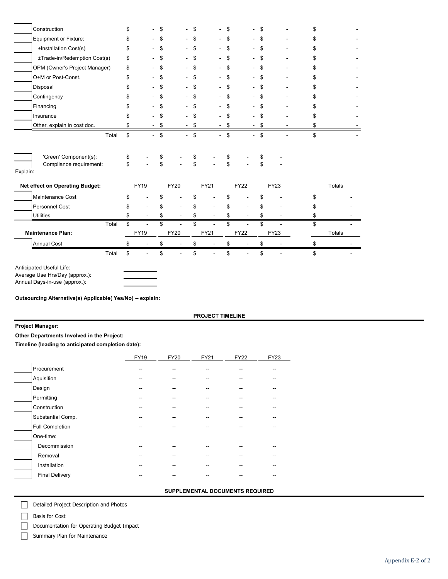| Construction                                                 | \$       |             | \$       | ÷.          | \$       | $\blacksquare$ | \$       |             | \$       |             | \$            |
|--------------------------------------------------------------|----------|-------------|----------|-------------|----------|----------------|----------|-------------|----------|-------------|---------------|
| Equipment or Fixture:                                        |          |             | \$       |             | \$       |                | \$       |             | \$       |             | \$            |
| ±Installation Cost(s)                                        | \$       |             | \$       |             | \$       |                | \$       |             | \$       |             | \$            |
| ±Trade-in/Redemption Cost(s)                                 | \$       |             | \$       |             | \$       |                | \$       |             | \$       |             | \$            |
| OPM (Owner's Project Manager)                                | \$       |             | \$       | ۰           | \$       |                | \$       |             | \$       |             | \$            |
| O+M or Post-Const.                                           | \$       |             | \$       |             | \$       |                | \$       |             | \$       |             | \$            |
| Disposal                                                     |          |             | \$       |             | \$       |                | \$       |             | \$       |             | \$            |
| Contingency                                                  |          |             | \$       |             | \$       |                | \$       |             | \$       |             | \$            |
| Financing                                                    |          |             | \$       |             | \$       |                | \$       |             | \$       |             | \$            |
| Insurance                                                    | S        |             | \$       |             | \$       |                | \$       |             | \$       |             | \$            |
| Other, explain in cost doc.                                  | \$       |             | \$       |             | \$       |                | \$       |             | \$       |             | \$            |
| 'Green' Component(s):<br>Compliance requirement:<br>Explain: | \$<br>\$ |             | \$<br>\$ |             | \$<br>\$ |                | \$<br>\$ |             | \$<br>\$ |             |               |
| Net effect on Operating Budget:                              |          | <b>FY19</b> |          | <b>FY20</b> |          | <b>FY21</b>    |          | <b>FY22</b> |          | <b>FY23</b> | Totals        |
| Maintenance Cost                                             | \$       |             | \$       |             | \$       |                | \$       |             | \$       |             | \$            |
| <b>Personnel Cost</b>                                        | S        |             | \$       |             | \$       |                | \$       |             | \$       |             | \$            |
| <b>Utilities</b>                                             | \$       |             | \$       |             | \$       |                | \$       |             | \$       |             | \$            |
| Total                                                        | \$       | ÷           | \$       |             | \$       |                | \$       |             | \$       |             | \$            |
| <b>Maintenance Plan:</b>                                     |          | <b>FY19</b> |          | <b>FY20</b> |          | <b>FY21</b>    |          | <b>FY22</b> |          | <b>FY23</b> | <b>Totals</b> |
| <b>Annual Cost</b>                                           | \$       |             | \$       |             | \$       |                | \$       |             | \$       |             | \$            |
|                                                              |          |             |          |             |          |                |          |             |          |             | \$            |

Anticipated Useful Life: Average Use Hrs/Day (approx.): Annual Days-in-use (approx.):

**Outsourcing Alternative(s) Applicable( Yes/No) -- explain:**

#### **PROJECT TIMELINE**

**Project Manager:**

**Other Departments Involved in the Project:** 

**Timeline (leading to anticipated completion date):**

|                        | <b>FY19</b> | <b>FY20</b> | FY21 | <b>FY22</b> | FY23 |
|------------------------|-------------|-------------|------|-------------|------|
| Procurement            |             |             |      |             |      |
| Aquisition             |             |             |      |             |      |
| Design                 |             |             |      |             |      |
| Permitting             |             |             |      |             |      |
| Construction           |             |             |      |             |      |
| Substantial Comp.      |             |             |      |             |      |
| <b>Full Completion</b> |             |             |      |             |      |
| One-time:              |             |             |      |             |      |
| Decommission           |             |             |      |             |      |
| Removal                |             |             |      |             |      |
| Installation           | --          |             |      |             |      |
| <b>Final Delivery</b>  |             |             |      |             |      |

#### **SUPPLEMENTAL DOCUMENTS REQUIRED**

Detailed Project Description and Photos

 $\Box$ Basis for Cost

 $\Box$ 

Documentation for Operating Budget Impact

 $\Box$ Summary Plan for Maintenance